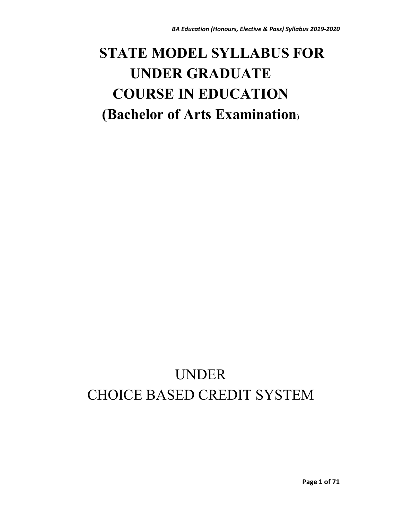# **STATE MODEL SYLLABUS FOR UNDER GRADUATE COURSE IN EDUCATION (Bachelor of Arts Examination)**

# UNDER CHOICE BASED CREDIT SYSTEM

**Page 1 of 71**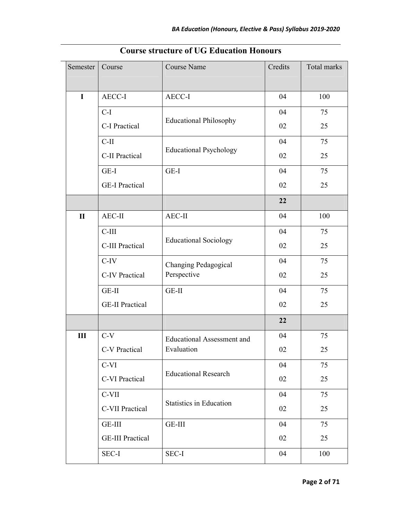| Semester       | Course                  | Course Name                       | Credits | Total marks |
|----------------|-------------------------|-----------------------------------|---------|-------------|
|                |                         |                                   |         |             |
| $\mathbf I$    | AECC-I                  | AECC-I                            | 04      | 100         |
|                | $C-I$                   | <b>Educational Philosophy</b>     | 04      | 75          |
|                | C-I Practical           |                                   | 02      | 25          |
|                | $C-II$                  | <b>Educational Psychology</b>     | 04      | 75          |
|                | C-II Practical          |                                   | 02      | 25          |
|                | GE-I                    | GE-I                              | 04      | 75          |
|                | <b>GE-I Practical</b>   |                                   | 02      | 25          |
|                |                         |                                   | 22      |             |
| $\mathbf{I}$   | AEC-II                  | AEC-II                            | 04      | 100         |
|                | $C-III$                 | <b>Educational Sociology</b>      | 04      | 75          |
|                | C-III Practical         |                                   | 02      | 25          |
|                | $C-IV$                  | Changing Pedagogical              | 04      | 75          |
|                | <b>C-IV Practical</b>   | Perspective                       | 02      | 25          |
|                | GE-II                   | GE-II                             | 04      | 75          |
|                | <b>GE-II Practical</b>  |                                   | 02      | 25          |
|                |                         |                                   | 22      |             |
| $\mathbf{III}$ | $C-V$                   | <b>Educational Assessment and</b> | 04      | 75          |
|                | C-V Practical           | Evaluation                        | 02      | 25          |
|                | C-VI                    | <b>Educational Research</b>       | 04      | 75          |
|                | C-VI Practical          |                                   | 02      | 25          |
|                | C-VII                   |                                   | 04      | 75          |
|                | C-VII Practical         | <b>Statistics in Education</b>    | 02      | 25          |
|                | GE-III                  | GE-III                            | 04      | 75          |
|                | <b>GE-III Practical</b> |                                   | 02      | 25          |
|                | SEC-I                   | SEC-I                             | 04      | 100         |

# **Course structure of UG Education Honours**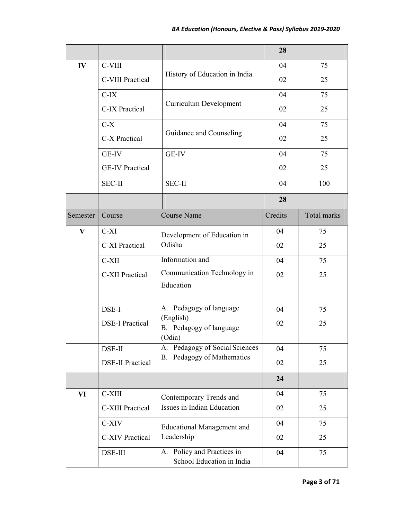|              |                         |                                                            | 28      |             |
|--------------|-------------------------|------------------------------------------------------------|---------|-------------|
| IV           | C-VIII                  | History of Education in India                              | 04      | 75          |
|              | C-VIII Practical        |                                                            | 02      | 25          |
|              | $C-IX$                  | <b>Curriculum Development</b>                              | 04      | 75          |
|              | C-IX Practical          |                                                            | 02      | 25          |
|              | $C-X$                   |                                                            | 04      | 75          |
|              | C-X Practical           | Guidance and Counseling                                    | 02      | 25          |
|              | GE-IV                   | GE-IV                                                      | 04      | 75          |
|              | <b>GE-IV Practical</b>  |                                                            | 02      | 25          |
|              | <b>SEC-II</b>           | <b>SEC-II</b>                                              | 04      | 100         |
|              |                         |                                                            | 28      |             |
| Semester     | Course                  | <b>Course Name</b>                                         | Credits | Total marks |
| $\mathbf{V}$ | $C-XI$                  | Development of Education in                                | 04      | 75          |
|              | C-XI Practical          | Odisha                                                     | 02      | 25          |
|              | C-XII                   | Information and                                            | 04      | 75          |
|              | <b>C-XII Practical</b>  | Communication Technology in                                | 02      | 25          |
|              |                         | Education                                                  |         |             |
|              | DSE-I                   | A. Pedagogy of language                                    | 04      | 75          |
|              | <b>DSE-I Practical</b>  | (English)<br>B. Pedagogy of language                       | 02      | 25          |
|              |                         | (Odia)                                                     |         |             |
|              | DSE-II                  | Pedagogy of Social Sciences<br>A.                          | 04      | 75          |
|              | <b>DSE-II Practical</b> | Pedagogy of Mathematics<br><b>B.</b>                       | 02      | 25          |
|              |                         |                                                            | 24      |             |
| VI           | C-XIII                  | Contemporary Trends and                                    | 04      | 75          |
|              | C-XIII Practical        | Issues in Indian Education                                 | 02      | 25          |
|              | C-XIV                   | <b>Educational Management and</b>                          | 04      | 75          |
|              | <b>C-XIV Practical</b>  | Leadership                                                 | 02      | 25          |
|              | DSE-III                 | Policy and Practices in<br>A.<br>School Education in India | 04      | 75          |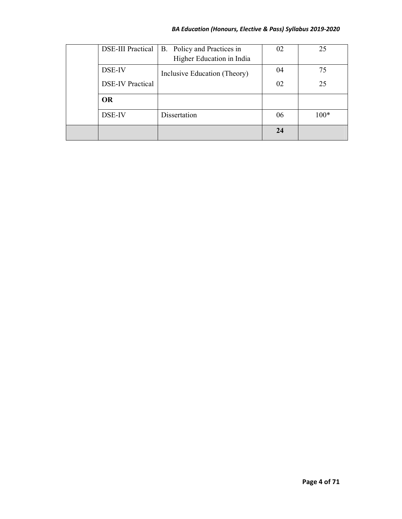## *BA Education (Honours, Elective & Pass) Syllabus 2019-2020*

|  | <b>DSE-III Practical</b> | B. Policy and Practices in<br>Higher Education in India | 02 | 25     |
|--|--------------------------|---------------------------------------------------------|----|--------|
|  | DSE-IV                   | Inclusive Education (Theory)                            | 04 | 75     |
|  | <b>DSE-IV Practical</b>  |                                                         | 02 | 25     |
|  | <b>OR</b>                |                                                         |    |        |
|  | DSE-IV                   | Dissertation                                            | 06 | $100*$ |
|  |                          |                                                         | 24 |        |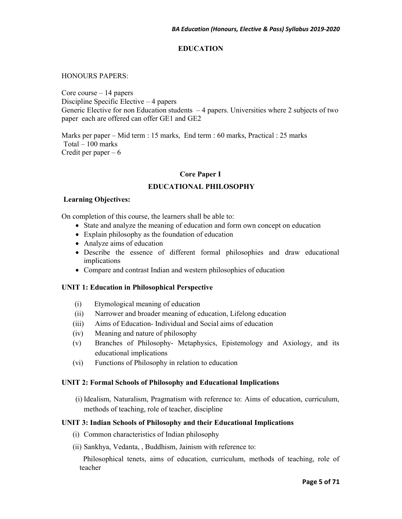## **EDUCATION**

#### HONOURS PAPERS:

Core course – 14 papers Discipline Specific Elective – 4 papers Generic Elective for non Education students  $-4$  papers. Universities where 2 subjects of two paper each are offered can offer GE1 and GE2

Marks per paper – Mid term : 15 marks, End term : 60 marks, Practical : 25 marks Total – 100 marks Credit per paper  $-6$ 

#### **Core Paper I**

## **EDUCATIONAL PHILOSOPHY**

#### **Learning Objectives:**

On completion of this course, the learners shall be able to:

- State and analyze the meaning of education and form own concept on education
- Explain philosophy as the foundation of education
- Analyze aims of education
- Describe the essence of different formal philosophies and draw educational implications
- Compare and contrast Indian and western philosophies of education

#### **UNIT 1: Education in Philosophical Perspective**

- (i) Etymological meaning of education
- (ii) Narrower and broader meaning of education, Lifelong education
- (iii) Aims of Education- Individual and Social aims of education
- (iv) Meaning and nature of philosophy
- (v) Branches of Philosophy- Metaphysics, Epistemology and Axiology, and its educational implications
- (vi) Functions of Philosophy in relation to education

#### **UNIT 2: Formal Schools of Philosophy and Educational Implications**

(i) Idealism, Naturalism, Pragmatism with reference to: Aims of education, curriculum, methods of teaching, role of teacher, discipline

#### **UNIT 3: Indian Schools of Philosophy and their Educational Implications**

- (i) Common characteristics of Indian philosophy
- (ii) Sankhya, Vedanta, , Buddhism, Jainism with reference to:

 Philosophical tenets, aims of education, curriculum, methods of teaching, role of teacher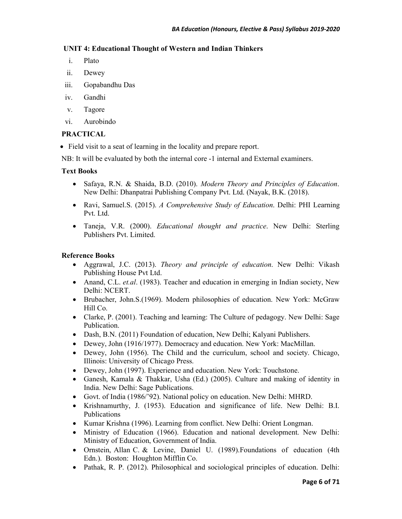## **UNIT 4: Educational Thought of Western and Indian Thinkers**

- i. Plato
- ii. Dewey
- iii. Gopabandhu Das
- iv. Gandhi
- v. Tagore
- vi. Aurobindo

## **PRACTICAL**

• Field visit to a seat of learning in the locality and prepare report.

NB: It will be evaluated by both the internal core -1 internal and External examiners.

## **Text Books**

- Safaya, R.N. & Shaida, B.D. (2010). *Modern Theory and Principles of Education*. New Delhi: Dhanpatrai Publishing Company Pvt. Ltd. (Nayak, B.K. (2018).
- Ravi, Samuel.S. (2015). *A Comprehensive Study of Education*. Delhi: PHI Learning Pvt. Ltd.
- Taneja, V.R. (2000). *Educational thought and practice*. New Delhi: Sterling Publishers Pvt. Limited.

- Aggrawal, J.C. (2013). *Theory and principle of education*. New Delhi: Vikash Publishing House Pvt Ltd.
- Anand, C.L. *et.al.* (1983). Teacher and education in emerging in Indian society, New Delhi: NCERT.
- Brubacher, John.S.(1969). Modern philosophies of education. New York: McGraw Hill Co.
- Clarke, P. (2001). Teaching and learning: The Culture of pedagogy. New Delhi: Sage Publication.
- Dash, B.N. (2011) Foundation of education, New Delhi; Kalyani Publishers.
- Dewey, John (1916/1977). Democracy and education. New York: MacMillan.
- Dewey, John (1956). The Child and the curriculum, school and society. Chicago, Illinois: University of Chicago Press.
- Dewey, John (1997). Experience and education. New York: Touchstone.
- Ganesh, Kamala & Thakkar, Usha (Ed.) (2005). Culture and making of identity in India. New Delhi: Sage Publications.
- Govt. of India (1986/'92). National policy on education. New Delhi: MHRD.
- Krishnamurthy, J. (1953). Education and significance of life. New Delhi: B.I. Publications
- Kumar Krishna (1996). Learning from conflict. New Delhi: Orient Longman.
- Ministry of Education (1966). Education and national development. New Delhi: Ministry of Education, Government of India.
- Ornstein, Allan C. & Levine, Daniel U. (1989).Foundations of education (4th Edn.). Boston: Houghton Mifflin Co.
- Pathak, R. P. (2012). Philosophical and sociological principles of education. Delhi: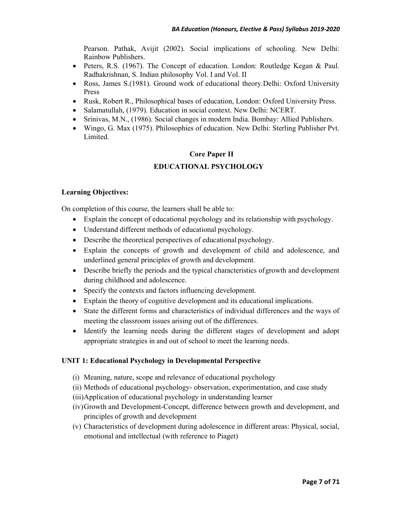Pearson. Pathak, Avijit (2002). Social implications of schooling. New Delhi: Rainbow Publishers.

- Peters, R.S. (1967). The Concept of education. London: Routledge Kegan & Paul. Radhakrishnan, S. Indian philosophy Vol. I and Vol. II
- Ross, James S.(1981). Ground work of educational theory.Delhi: Oxford University Press
- Rusk, Robert R., Philosophical bases of education, London: Oxford University Press.
- Salamatullah, (1979). Education in social context. New Delhi: NCERT.
- Srinivas, M.N., (1986). Social changes in modern India. Bombay: Allied Publishers.
- Wingo, G. Max (1975). Philosophies of education. New Delhi: Sterling Publisher Pvt. Limited.

## **Core Paper II**

## **EDUCATIONAL PSYCHOLOGY**

#### **Learning Objectives:**

On completion of this course, the learners shall be able to:

- Explain the concept of educational psychology and its relationship with psychology.
- Understand different methods of educational psychology.
- Describe the theoretical perspectives of educational psychology.
- Explain the concepts of growth and development of child and adolescence, and underlined general principles of growth and development.
- Describe briefly the periods and the typical characteristics of growth and development during childhood and adolescence.
- Specify the contexts and factors influencing development.
- Explain the theory of cognitive development and its educational implications.
- State the different forms and characteristics of individual differences and the ways of meeting the classroom issues arising out of the differences.
- Identify the learning needs during the different stages of development and adopt appropriate strategies in and out of school to meet the learning needs.

#### **UNIT 1: Educational Psychology in Developmental Perspective**

- (i) Meaning, nature, scope and relevance of educational psychology
- (ii) Methods of educational psychology- observation, experimentation, and case study
- (iii)Application of educational psychology in understanding learner
- (iv)Growth and Development-Concept, difference between growth and development, and principles of growth and development
- (v) Characteristics of development during adolescence in different areas: Physical, social, emotional and intellectual (with reference to Piaget)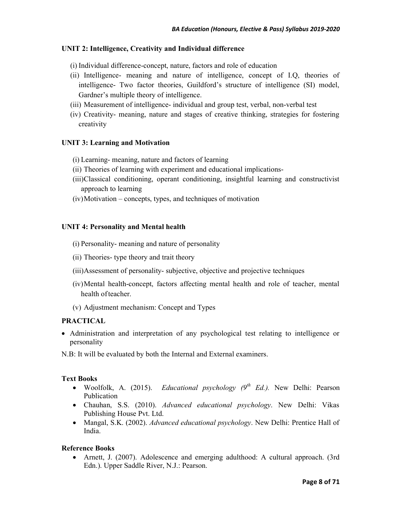## **UNIT 2: Intelligence, Creativity and Individual difference**

- (i) Individual difference-concept, nature, factors and role of education
- (ii) Intelligence- meaning and nature of intelligence, concept of I.Q, theories of intelligence- Two factor theories, Guildford's structure of intelligence (SI) model, Gardner's multiple theory of intelligence.
- (iii) Measurement of intelligence- individual and group test, verbal, non-verbal test
- (iv) Creativity- meaning, nature and stages of creative thinking, strategies for fostering creativity

## **UNIT 3: Learning and Motivation**

- (i) Learning- meaning, nature and factors of learning
- (ii) Theories of learning with experiment and educational implications-
- (iii)Classical conditioning, operant conditioning, insightful learning and constructivist approach to learning
- (iv)Motivation concepts, types, and techniques of motivation

## **UNIT 4: Personality and Mental health**

- (i) Personality- meaning and nature of personality
- (ii) Theories- type theory and trait theory
- (iii)Assessment of personality- subjective, objective and projective techniques
- (iv)Mental health-concept, factors affecting mental health and role of teacher, mental health of teacher.
- (v) Adjustment mechanism: Concept and Types

## **PRACTICAL**

- Administration and interpretation of any psychological test relating to intelligence or personality
- N.B: It will be evaluated by both the Internal and External examiners.

#### **Text Books**

- Woolfolk, A. (2015). *Educational psychology (9th Ed.).* New Delhi: Pearson Publication
- Chauhan, S.S. (2010). *Advanced educational psychology*. New Delhi: Vikas Publishing House Pvt. Ltd.
- Mangal, S.K. (2002). *Advanced educational psychology*. New Delhi: Prentice Hall of India.

#### **Reference Books**

• Arnett, J. (2007). Adolescence and emerging adulthood: A cultural approach. (3rd Edn.). Upper Saddle River, N.J.: Pearson.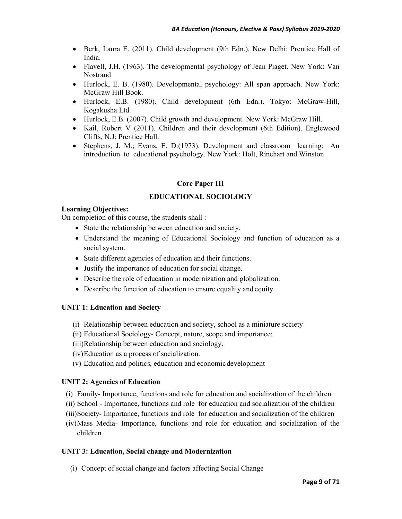- Berk, Laura E. (2011). Child development (9th Edn.). New Delhi: Prentice Hall of India.
- Flavell, J.H. (1963). The developmental psychology of Jean Piaget. New York: Van Nostrand
- Hurlock, E. B. (1980). Developmental psychology: All span approach. New York: McGraw Hill Book.
- Hurlock, E.B. (1980). Child development (6th Edn.). Tokyo: McGraw-Hill, Kogakusha Ltd.
- Hurlock, E.B. (2007). Child growth and development. New York: McGraw Hill.
- Kail, Robert V (2011). Children and their development (6th Edition). Englewood Cliffs, N.J: Prentice Hall.
- Stephens, J. M.; Evans, E. D.(1973). Development and classroom learning: An introduction to educational psychology. New York: Holt, Rinehart and Winston

## **Core Paper III**

## **EDUCATIONAL SOCIOLOGY**

#### **Learning Objectives:**

On completion of this course, the students shall :

- State the relationship between education and society.
- Understand the meaning of Educational Sociology and function of education as a social system.
- State different agencies of education and their functions.
- Justify the importance of education for social change.
- Describe the role of education in modernization and globalization.
- Describe the function of education to ensure equality and equity.

#### **UNIT 1: Education and Society**

- (i) Relationship between education and society, school as a miniature society
- (ii) Educational Sociology- Concept, nature, scope and importance;
- (iii)Relationship between education and sociology.
- (iv)Education as a process of socialization.
- (v) Education and politics, education and economic development

#### **UNIT 2: Agencies of Education**

- (i) Family- Importance, functions and role for education and socialization of the children
- (ii) School Importance, functions and role for education and socialization of the children
- (iii)Society- Importance, functions and role for education and socialization of the children
- (iv)Mass Media- Importance, functions and role for education and socialization of the children

#### **UNIT 3: Education, Social change and Modernization**

(i) Concept of social change and factors affecting Social Change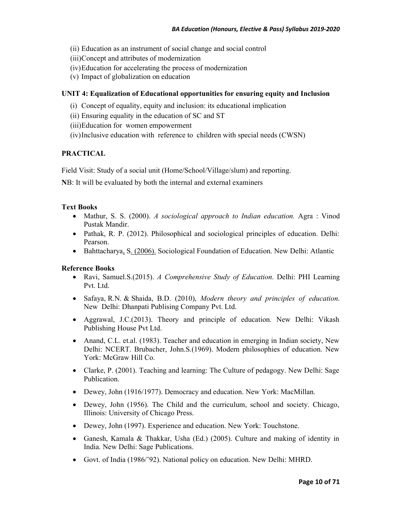- (ii) Education as an instrument of social change and social control
- (iii)Concept and attributes of modernization
- (iv)Education for accelerating the process of modernization
- (v) Impact of globalization on education

## **UNIT 4: Equalization of Educational opportunities for ensuring equity and Inclusion**

- (i) Concept of equality, equity and inclusion: its educational implication
- (ii) Ensuring equality in the education of SC and ST
- (iii)Education for women empowerment
- (iv)Inclusive education with reference to children with special needs (CWSN)

## **PRACTICAL**

Field Visit: Study of a social unit (Home/School/Village/slum) and reporting.

**N**B: It will be evaluated by both the internal and external examiners

#### **Text Books**

- Mathur, S. S. (2000). *A sociological approach to Indian education.* Agra : Vinod Pustak Mandir.
- Pathak, R. P. (2012). Philosophical and sociological principles of education. Delhi: Pearson.
- Bahttacharya, S. (2006). Sociological Foundation of Education. New Delhi: Atlantic

- Ravi, Samuel.S.(2015). *A Comprehensive Study of Education*. Delhi: PHI Learning Pvt. Ltd.
- Safaya, R.N. & Shaida, B.D. (2010), *Modern theory and principles of education*. New Delhi: Dhanpati Publising Company Pvt. Ltd.
- Aggrawal, J.C.(2013). Theory and principle of education. New Delhi: Vikash Publishing House Pvt Ltd.
- Anand, C.L. et.al. (1983). Teacher and education in emerging in Indian society, New Delhi: NCERT. Brubacher, John.S.(1969). Modern philosophies of education. New York: McGraw Hill Co.
- Clarke, P. (2001). Teaching and learning: The Culture of pedagogy. New Delhi: Sage Publication.
- Dewey, John (1916/1977). Democracy and education. New York: MacMillan.
- Dewey, John (1956). The Child and the curriculum, school and society. Chicago, Illinois: University of Chicago Press.
- Dewey, John (1997). Experience and education. New York: Touchstone.
- Ganesh, Kamala & Thakkar, Usha (Ed.) (2005). Culture and making of identity in India. New Delhi: Sage Publications.
- Govt. of India (1986/'92). National policy on education. New Delhi: MHRD.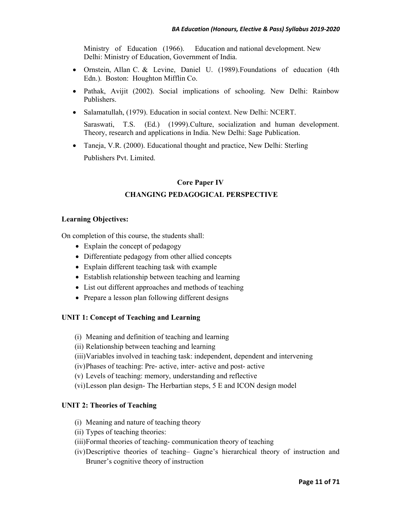Ministry of Education (1966). Education and national development. New Delhi: Ministry of Education, Government of India.

- Ornstein, Allan C. & Levine, Daniel U. (1989).Foundations of education (4th Edn.). Boston: Houghton Mifflin Co.
- Pathak, Avijit (2002). Social implications of schooling. New Delhi: Rainbow Publishers.
- Salamatullah, (1979). Education in social context. New Delhi: NCERT.

Saraswati, T.S. (Ed.) (1999).Culture, socialization and human development. Theory, research and applications in India. New Delhi: Sage Publication.

• Taneja, V.R. (2000). Educational thought and practice, New Delhi: Sterling Publishers Pvt. Limited.

# **Core Paper IV CHANGING PEDAGOGICAL PERSPECTIVE**

## **Learning Objectives:**

On completion of this course, the students shall:

- Explain the concept of pedagogy
- Differentiate pedagogy from other allied concepts
- Explain different teaching task with example
- Establish relationship between teaching and learning
- List out different approaches and methods of teaching
- Prepare a lesson plan following different designs

#### **UNIT 1: Concept of Teaching and Learning**

- (i) Meaning and definition of teaching and learning
- (ii) Relationship between teaching and learning
- (iii)Variables involved in teaching task: independent, dependent and intervening
- (iv)Phases of teaching: Pre- active, inter- active and post- active
- (v) Levels of teaching: memory, understanding and reflective
- (vi)Lesson plan design- The Herbartian steps, 5 E and ICON design model

## **UNIT 2: Theories of Teaching**

- (i) Meaning and nature of teaching theory
- (ii) Types of teaching theories:
- (iii)Formal theories of teaching- communication theory of teaching
- (iv)Descriptive theories of teaching– Gagne's hierarchical theory of instruction and Bruner's cognitive theory of instruction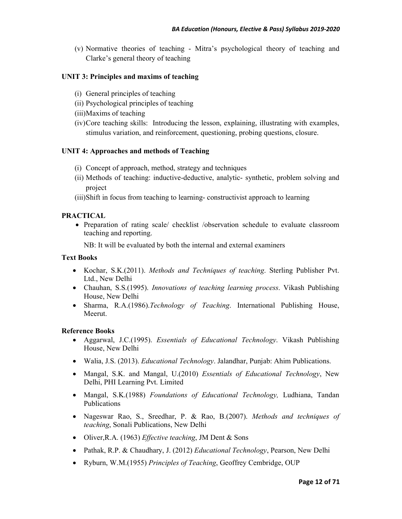(v) Normative theories of teaching - Mitra's psychological theory of teaching and Clarke's general theory of teaching

## **UNIT 3: Principles and maxims of teaching**

- (i) General principles of teaching
- (ii) Psychological principles of teaching
- (iii)Maxims of teaching
- (iv)Core teaching skills: Introducing the lesson, explaining, illustrating with examples, stimulus variation, and reinforcement, questioning, probing questions, closure.

## **UNIT 4: Approaches and methods of Teaching**

- (i) Concept of approach, method, strategy and techniques
- (ii) Methods of teaching: inductive-deductive, analytic- synthetic, problem solving and project
- (iii)Shift in focus from teaching to learning- constructivist approach to learning

#### **PRACTICAL**

• Preparation of rating scale/ checklist /observation schedule to evaluate classroom teaching and reporting.

NB: It will be evaluated by both the internal and external examiners

### **Text Books**

- Kochar, S.K.(2011). *Methods and Techniques of teaching*. Sterling Publisher Pvt. Ltd., New Delhi
- Chauhan, S.S.(1995). *Innovations of teaching learning process*. Vikash Publishing House, New Delhi
- Sharma, R.A.(1986).*Technology of Teaching*. International Publishing House, Meerut.

- Aggarwal, J.C.(1995). *Essentials of Educational Technology*. Vikash Publishing House, New Delhi
- Walia, J.S. (2013). *Educational Technology*. Jalandhar, Punjab: Ahim Publications.
- Mangal, S.K. and Mangal, U.(2010) *Essentials of Educational Technology*, New Delhi, PHI Learning Pvt. Limited
- Mangal, S.K.(1988) *Foundations of Educational Technology,* Ludhiana, Tandan Publications
- Nageswar Rao, S., Sreedhar, P. & Rao, B.(2007). *Methods and techniques of teaching*, Sonali Publications, New Delhi
- Oliver,R.A. (1963) *Effective teaching*, JM Dent & Sons
- Pathak, R.P. & Chaudhary, J. (2012) *Educational Technology*, Pearson, New Delhi
- Ryburn, W.M.(1955) *Principles of Teaching*, Geoffrey Cembridge, OUP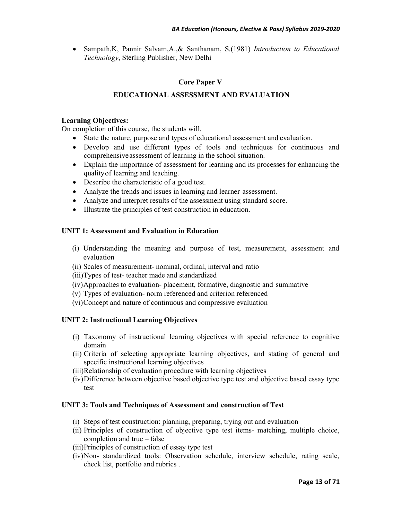• Sampath,K, Pannir Salvam,A.,& Santhanam, S.(1981) *Introduction to Educational Technology*, Sterling Publisher, New Delhi

## **Core Paper V**

## **EDUCATIONAL ASSESSMENT AND EVALUATION**

#### **Learning Objectives:**

On completion of this course, the students will.

- State the nature, purpose and types of educational assessment and evaluation.
- Develop and use different types of tools and techniques for continuous and comprehensive assessment of learning in the school situation.
- Explain the importance of assessment for learning and its processes for enhancing the quality of learning and teaching.
- Describe the characteristic of a good test.
- Analyze the trends and issues in learning and learner assessment.
- Analyze and interpret results of the assessment using standard score.
- Illustrate the principles of test construction in education.

#### **UNIT 1: Assessment and Evaluation in Education**

- (i) Understanding the meaning and purpose of test, measurement, assessment and evaluation
- (ii) Scales of measurement- nominal, ordinal, interval and ratio
- (iii)Types of test- teacher made and standardized
- (iv)Approaches to evaluation- placement, formative, diagnostic and summative
- (v) Types of evaluation- norm referenced and criterion referenced
- (vi)Concept and nature of continuous and compressive evaluation

## **UNIT 2: Instructional Learning Objectives**

- (i) Taxonomy of instructional learning objectives with special reference to cognitive domain
- (ii) Criteria of selecting appropriate learning objectives, and stating of general and specific instructional learning objectives
- (iii)Relationship of evaluation procedure with learning objectives
- (iv)Difference between objective based objective type test and objective based essay type test

#### **UNIT 3: Tools and Techniques of Assessment and construction of Test**

- (i) Steps of test construction: planning, preparing, trying out and evaluation
- (ii) Principles of construction of objective type test items- matching, multiple choice, completion and true – false
- (iii)Principles of construction of essay type test
- (iv)Non- standardized tools: Observation schedule, interview schedule, rating scale, check list, portfolio and rubrics .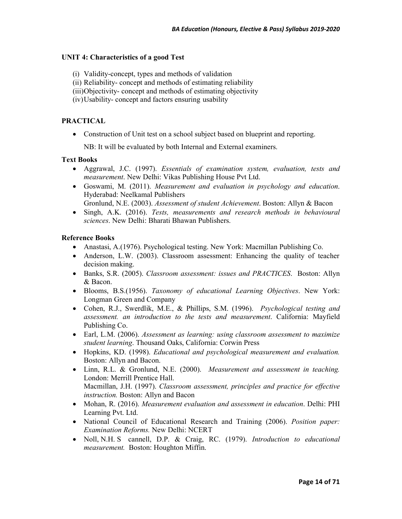#### **UNIT 4: Characteristics of a good Test**

- (i) Validity-concept, types and methods of validation
- (ii) Reliability- concept and methods of estimating reliability
- (iii)Objectivity- concept and methods of estimating objectivity
- (iv)Usability- concept and factors ensuring usability

#### **PRACTICAL**

• Construction of Unit test on a school subject based on blueprint and reporting.

NB: It will be evaluated by both Internal and External examiners.

#### **Text Books**

- Aggrawal, J.C. (1997). *Essentials of examination system, evaluation, tests and measurement*. New Delhi: Vikas Publishing House Pvt Ltd.
- Goswami, M. (2011). *Measurement and evaluation in psychology and education*. Hyderabad: Neelkamal Publishers

Gronlund, N.E. (2003). *Assessment of student Achievement*. Boston: Allyn & Bacon

• Singh, A.K. (2016). *Tests, measurements and research methods in behavioural sciences*. New Delhi: Bharati Bhawan Publishers.

- Anastasi, A.(1976). Psychological testing. New York: Macmillan Publishing Co.
- Anderson, L.W. (2003). Classroom assessment: Enhancing the quality of teacher decision making.
- Banks, S.R. (2005). *Classroom assessment: issues and PRACTICES*. Boston: Allyn & Bacon.
- Blooms, B.S.(1956). *Taxonomy of educational Learning Objectives*. New York: Longman Green and Company
- Cohen, R.J., Swerdlik, M.E., & Phillips, S.M. (1996). *Psychological testing and assessment. an introduction to the tests and measurement*. California: Mayfield Publishing Co.
- Earl, L.M. (2006). *Assessment as learning: using classroom assessment to maximize student learning*. Thousand Oaks, California: Corwin Press
- Hopkins, KD. (1998). *Educational and psychological measurement and evaluation.* Boston: Allyn and Bacon.
- Linn, R.L. & Gronlund, N.E. (2000). *Measurement and assessment in teaching.*  London: Merrill Prentice Hall. Macmillan, J.H. (1997). *Classroom assessment, principles and practice for effective instruction.* Boston: Allyn and Bacon
- Mohan, R. (2016). *Measurement evaluation and assessment in education*. Delhi: PHI Learning Pvt. Ltd.
- National Council of Educational Research and Training (2006). *Position paper: Examination Reforms.* New Delhi: NCERT
- Noll, N.H. S cannell, D.P. & Craig, RC. (1979). *Introduction to educational measurement.* Boston: Houghton Miffin.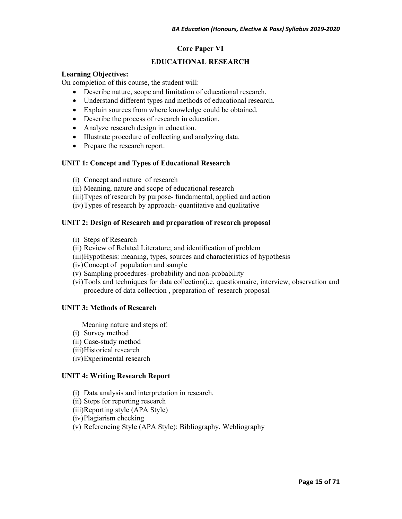## **Core Paper VI**

## **EDUCATIONAL RESEARCH**

#### **Learning Objectives:**

On completion of this course, the student will:

- Describe nature, scope and limitation of educational research.
- Understand different types and methods of educational research.
- Explain sources from where knowledge could be obtained.
- Describe the process of research in education.
- Analyze research design in education.
- Illustrate procedure of collecting and analyzing data.
- Prepare the research report.

#### **UNIT 1: Concept and Types of Educational Research**

- (i) Concept and nature of research
- (ii) Meaning, nature and scope of educational research
- (iii)Types of research by purpose- fundamental, applied and action
- (iv)Types of research by approach- quantitative and qualitative

#### **UNIT 2: Design of Research and preparation of research proposal**

- (i) Steps of Research
- (ii) Review of Related Literature; and identification of problem
- (iii)Hypothesis: meaning, types, sources and characteristics of hypothesis
- (iv)Concept of population and sample
- (v) Sampling procedures- probability and non-probability
- (vi)Tools and techniques for data collection(i.e. questionnaire, interview, observation and procedure of data collection , preparation of research proposal

#### **UNIT 3: Methods of Research**

Meaning nature and steps of:

- (i) Survey method
- (ii) Case-study method
- (iii)Historical research
- (iv)Experimental research

#### **UNIT 4: Writing Research Report**

- (i) Data analysis and interpretation in research.
- (ii) Steps for reporting research
- (iii)Reporting style (APA Style)
- (iv)Plagiarism checking
- (v) Referencing Style (APA Style): Bibliography, Webliography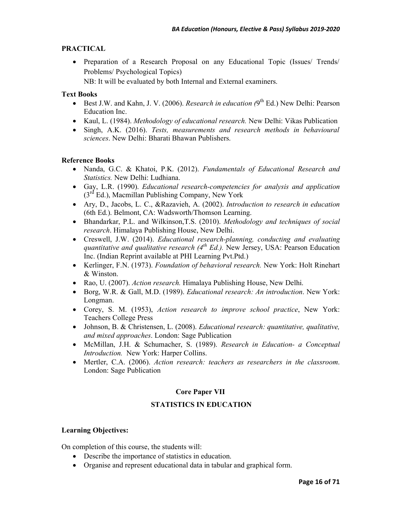## **PRACTICAL**

• Preparation of a Research Proposal on any Educational Topic (Issues/ Trends/ Problems/ Psychological Topics)

NB: It will be evaluated by both Internal and External examiners.

## **Text Books**

- Best J.W. and Kahn, J. V. (2006). *Research in education*  $(9^{th}$  Ed.) New Delhi: Pearson Education Inc.
- Kaul, L. (1984). *Methodology of educational research.* New Delhi: Vikas Publication
- Singh, A.K. (2016). *Tests, measurements and research methods in behavioural sciences*. New Delhi: Bharati Bhawan Publishers.

## **Reference Books**

- Nanda, G.C. & Khatoi, P.K. (2012). *Fundamentals of Educational Research and Statistics.* New Delhi: Ludhiana.
- Gay, L.R. (1990). *Educational research-competencies for analysis and application*  $(3<sup>rd</sup> Ed.)$ , Macmillan Publishing Company, New York
- Ary, D., Jacobs, L. C., &Razavieh, A. (2002). *Introduction to research in education*  (6th Ed.). Belmont, CA: Wadsworth/Thomson Learning.
- Bhandarkar, P.L. and Wilkinson,T.S. (2010). *Methodology and techniques of social research*. Himalaya Publishing House, New Delhi.
- Creswell, J.W. (2014). *Educational research-planning, conducting and evaluating quantitative and qualitative research (4th Ed.).* New Jersey, USA: Pearson Education Inc. (Indian Reprint available at PHI Learning Pvt.Ptd.)
- Kerlinger, F.N. (1973). *Foundation of behavioral research.* New York: Holt Rinehart & Winston.
- Rao, U. (2007). *Action research.* Himalaya Publishing House, New Delhi.
- Borg, W.R. & Gall, M.D. (1989). *Educational research: An introduction*. New York: Longman.
- Corey, S. M. (1953), *Action research to improve school practice*, New York: Teachers College Press
- Johnson, B. & Christensen, L. (2008). *Educational research: quantitative, qualitative, and mixed approaches*. London: Sage Publication
- McMillan, J.H. & Schumacher, S. (1989). *Research in Education- a Conceptual Introduction.* New York: Harper Collins.
- Mertler, C.A. (2006). *Action research: teachers as researchers in the classroom*. London: Sage Publication

## **Core Paper VII**

## **STATISTICS IN EDUCATION**

## **Learning Objectives:**

On completion of this course, the students will:

- Describe the importance of statistics in education.
- Organise and represent educational data in tabular and graphical form.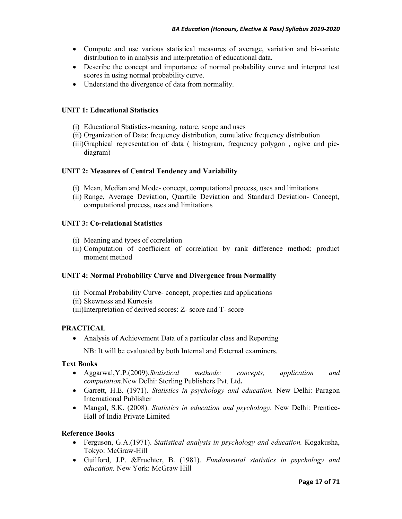- Compute and use various statistical measures of average, variation and bi-variate distribution to in analysis and interpretation of educational data.
- Describe the concept and importance of normal probability curve and interpret test scores in using normal probability curve.
- Understand the divergence of data from normality.

### **UNIT 1: Educational Statistics**

- (i) Educational Statistics-meaning, nature, scope and uses
- (ii) Organization of Data: frequency distribution, cumulative frequency distribution
- (iii)Graphical representation of data ( histogram, frequency polygon , ogive and piediagram)

#### **UNIT 2: Measures of Central Tendency and Variability**

- (i) Mean, Median and Mode- concept, computational process, uses and limitations
- (ii) Range, Average Deviation, Quartile Deviation and Standard Deviation- Concept, computational process, uses and limitations

#### **UNIT 3: Co-relational Statistics**

- (i) Meaning and types of correlation
- (ii) Computation of coefficient of correlation by rank difference method; product moment method

#### **UNIT 4: Normal Probability Curve and Divergence from Normality**

- (i) Normal Probability Curve- concept, properties and applications
- (ii) Skewness and Kurtosis
- (iii)Interpretation of derived scores: Z- score and T- score

#### **PRACTICAL**

• Analysis of Achievement Data of a particular class and Reporting

NB: It will be evaluated by both Internal and External examiners.

## **Text Books**

- Aggarwal,Y.P.(2009).*Statistical methods: concepts, application and computation*.New Delhi: Sterling Publishers Pvt. Ltd*.*
- Garrett, H.E. (1971). *Statistics in psychology and education.* New Delhi: Paragon International Publisher
- Mangal, S.K. (2008). *Statistics in education and psychology*. New Delhi: Prentice-Hall of India Private Limited

- Ferguson, G.A.(1971). *Statistical analysis in psychology and education.* Kogakusha, Tokyo: McGraw-Hill
- Guilford, J.P. &Fruchter, B. (1981). *Fundamental statistics in psychology and education.* New York: McGraw Hill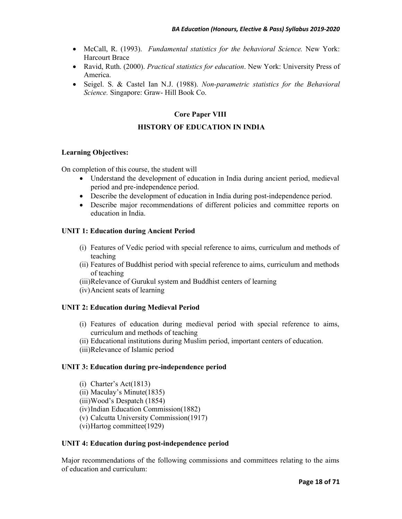- McCall, R. (1993). *Fundamental statistics for the behavioral Science.* New York: Harcourt Brace
- Ravid, Ruth. (2000). *Practical statistics for education*. New York: University Press of America.
- Seigel. S. & Castel Ian N.J. (1988). *Non-parametric statistics for the Behavioral Science.* Singapore: Graw- Hill Book Co.

## **Core Paper VIII**

### **HISTORY OF EDUCATION IN INDIA**

#### **Learning Objectives:**

On completion of this course, the student will

- Understand the development of education in India during ancient period, medieval period and pre-independence period.
- Describe the development of education in India during post-independence period.
- Describe major recommendations of different policies and committee reports on education in India.

#### **UNIT 1: Education during Ancient Period**

- (i) Features of Vedic period with special reference to aims, curriculum and methods of teaching
- (ii) Features of Buddhist period with special reference to aims, curriculum and methods of teaching
- (iii)Relevance of Gurukul system and Buddhist centers of learning
- (iv)Ancient seats of learning

#### **UNIT 2: Education during Medieval Period**

- (i) Features of education during medieval period with special reference to aims, curriculum and methods of teaching
- (ii) Educational institutions during Muslim period, important centers of education.
- (iii)Relevance of Islamic period

#### **UNIT 3: Education during pre-independence period**

- (i) Charter's Act(1813)
- (ii) Maculay's Minute(1835)
- (iii)Wood's Despatch (1854)

(iv)Indian Education Commission(1882)

- (v) Calcutta University Commission(1917)
- (vi)Hartog committee(1929)

#### **UNIT 4: Education during post-independence period**

Major recommendations of the following commissions and committees relating to the aims of education and curriculum: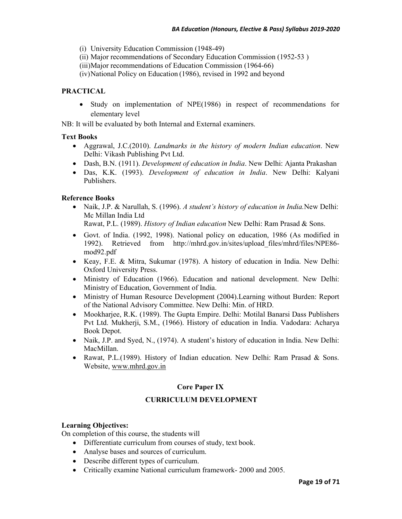- (i) University Education Commission (1948-49)
- (ii) Major recommendations of Secondary Education Commission (1952-53 )
- (iii)Major recommendations of Education Commission (1964-66)

(iv)National Policy on Education (1986), revised in 1992 and beyond

## **PRACTICAL**

• Study on implementation of NPE(1986) in respect of recommendations for elementary level

NB: It will be evaluated by both Internal and External examiners.

## **Text Books**

- Aggrawal, J.C.(2010). *Landmarks in the history of modern Indian education*. New Delhi: Vikash Publishing Pvt Ltd.
- Dash, B.N. (1911). *Development of education in India*. New Delhi: Ajanta Prakashan
- Das, K.K. (1993). *Development of education in India*. New Delhi: Kalyani Publishers.

## **Reference Books**

- Naik, J.P. & Narullah, S. (1996). *A student's history of education in India.*New Delhi: Mc Millan India Ltd Rawat, P.L. (1989). *History of Indian education* New Delhi: Ram Prasad & Sons.
- Govt. of India. (1992, 1998). National policy on education, 1986 (As modified in 1992). Retrieved from http://mhrd.gov.in/sites/upload\_files/mhrd/files/NPE86 mod92.pdf
- Keay, F.E. & Mitra, Sukumar (1978). A history of education in India. New Delhi: Oxford University Press.
- Ministry of Education (1966). Education and national development. New Delhi: Ministry of Education, Government of India.
- Ministry of Human Resource Development (2004).Learning without Burden: Report of the National Advisory Committee. New Delhi: Min. of HRD.
- Mookharjee, R.K. (1989). The Gupta Empire. Delhi: Motilal Banarsi Dass Publishers Pvt Ltd. Mukherji, S.M., (1966). History of education in India. Vadodara: Acharya Book Depot.
- Naik, J.P. and Syed, N., (1974). A student's history of education in India. New Delhi: MacMillan.
- Rawat, P.L.(1989). History of Indian education. New Delhi: Ram Prasad & Sons. Website, www.mhrd.gov.in

## **Core Paper IX**

## **CURRICULUM DEVELOPMENT**

## **Learning Objectives:**

On completion of this course, the students will

- Differentiate curriculum from courses of study, text book.
- Analyse bases and sources of curriculum.
- Describe different types of curriculum.
- Critically examine National curriculum framework- 2000 and 2005.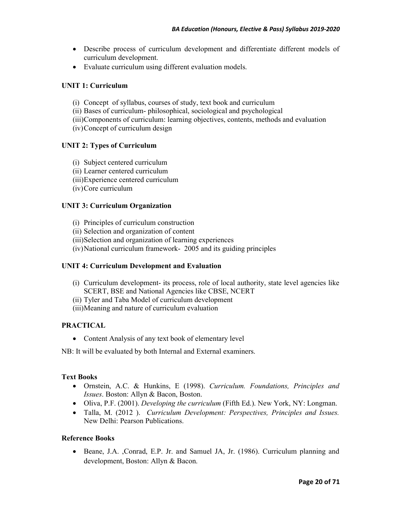- Describe process of curriculum development and differentiate different models of curriculum development.
- Evaluate curriculum using different evaluation models.

## **UNIT 1: Curriculum**

- (i) Concept of syllabus, courses of study, text book and curriculum
- (ii) Bases of curriculum- philosophical, sociological and psychological
- (iii)Components of curriculum: learning objectives, contents, methods and evaluation
- (iv)Concept of curriculum design

## **UNIT 2: Types of Curriculum**

- (i) Subject centered curriculum
- (ii) Learner centered curriculum
- (iii)Experience centered curriculum
- (iv)Core curriculum

## **UNIT 3: Curriculum Organization**

- (i) Principles of curriculum construction
- (ii) Selection and organization of content
- (iii)Selection and organization of learning experiences
- (iv)National curriculum framework- 2005 and its guiding principles

#### **UNIT 4: Curriculum Development and Evaluation**

- (i) Curriculum development- its process, role of local authority, state level agencies like SCERT, BSE and National Agencies like CBSE, NCERT
- (ii) Tyler and Taba Model of curriculum development
- (iii)Meaning and nature of curriculum evaluation

## **PRACTICAL**

• Content Analysis of any text book of elementary level

NB: It will be evaluated by both Internal and External examiners.

#### **Text Books**

- Ornstein, A.C. & Hunkins, E (1998). *Curriculum. Foundations, Principles and Issues*. Boston: Allyn & Bacon, Boston.
- Oliva, P.F. (2001). *Developing the curriculum* (Fifth Ed.). New York, NY: Longman.
- Talla, M. (2012 ). *Curriculum Development: Perspectives, Principles and Issues.*  New Delhi: Pearson Publications.

## **Reference Books**

• Beane, J.A. ,Conrad, E.P. Jr. and Samuel JA, Jr. (1986). Curriculum planning and development, Boston: Allyn & Bacon.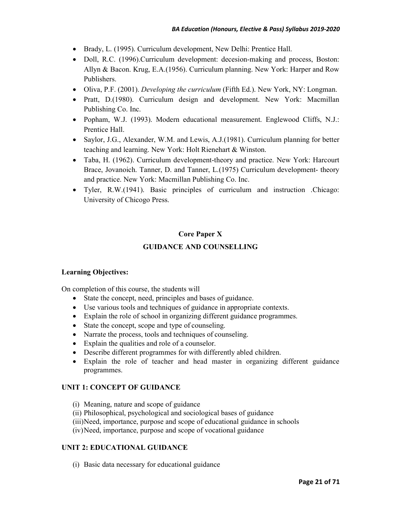- Brady, L. (1995). Curriculum development, New Delhi: Prentice Hall.
- Doll, R.C. (1996). Curriculum development: decesion-making and process, Boston: Allyn & Bacon. Krug, E.A.(1956). Curriculum planning. New York: Harper and Row Publishers.
- Oliva, P.F. (2001). *Developing the curriculum* (Fifth Ed.). New York, NY: Longman.
- Pratt, D. (1980). Curriculum design and development. New York: Macmillan Publishing Co. Inc.
- Popham, W.J. (1993). Modern educational measurement. Englewood Cliffs, N.J.: Prentice Hall.
- Saylor, J.G., Alexander, W.M. and Lewis, A.J. (1981). Curriculum planning for better teaching and learning. New York: Holt Rienehart & Winston.
- Taba, H. (1962). Curriculum development-theory and practice. New York: Harcourt Brace, Jovanoich. Tanner, D. and Tanner, L.(1975) Curriculum development- theory and practice. New York: Macmillan Publishing Co. Inc.
- Tyler, R.W.(1941). Basic principles of curriculum and instruction .Chicago: University of Chicogo Press.

# **Core Paper X GUIDANCE AND COUNSELLING**

#### **Learning Objectives:**

On completion of this course, the students will

- State the concept, need, principles and bases of guidance.
- Use various tools and techniques of guidance in appropriate contexts.
- Explain the role of school in organizing different guidance programmes.
- State the concept, scope and type of counseling.
- Narrate the process, tools and techniques of counseling.
- Explain the qualities and role of a counselor.
- Describe different programmes for with differently abled children.
- Explain the role of teacher and head master in organizing different guidance programmes.

## **UNIT 1: CONCEPT OF GUIDANCE**

- (i) Meaning, nature and scope of guidance
- (ii) Philosophical, psychological and sociological bases of guidance
- (iii)Need, importance, purpose and scope of educational guidance in schools
- (iv)Need, importance, purpose and scope of vocational guidance

## **UNIT 2: EDUCATIONAL GUIDANCE**

(i) Basic data necessary for educational guidance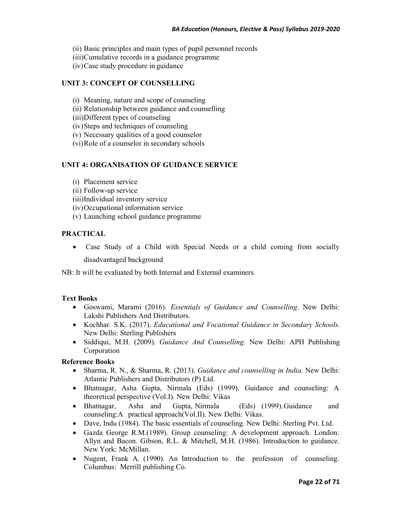- (ii) Basic principles and main types of pupil personnel records
- (iii)Cumulative records in a guidance programme
- (iv)Case study procedure in guidance

## **UNIT 3: CONCEPT OF COUNSELLING**

- (i) Meaning, nature and scope of counseling
- (ii) Relationship between guidance and counselling
- (iii)Different types of counseling
- (iv)Steps and techniques of counseling
- (v) Necessary qualities of a good counselor
- (vi)Role of a counselor in secondary schools

## **UNIT 4: ORGANISATION OF GUIDANCE SERVICE**

- (i) Placement service
- (ii) Follow-up service
- (iii)Individual inventory service
- (iv)Occupational information service
- (v) Launching school guidance programme

## **PRACTICAL**

• Case Study of a Child with Special Needs or a child coming from socially disadvantaged background

NB: It will be evaluated by both Internal and External examiners.

#### **Text Books**

- Goswami, Marami (2016). *Essentials of Guidance and Counselling*. New Delhi: Lakshi Publishers And Distributors.
- Kochhar. S.K. (2017). *Educational and Vocational Guidance in Secondary Schools*. New Delhi: Sterling Publishers
- Siddiqui, M.H. (2009). *Guidance And Counselling*. New Delhi: APH Publishing Corporation

- Sharma, R. N., & Sharma, R. (2013). *Guidance and counselling in India*. New Delhi: Atlantic Publishers and Distributors (P) Ltd.
- Bhatnagar, Asha Gupta, Nirmala (Eds) (1999). Guidance and counseling: A theoretical perspective (Vol.I). New Delhi: Vikas
- Bhatnagar, Asha and Gupta, Nirmala (Eds) (1999). Guidance and counseling:A practical approach(Vol.II). New Delhi: Vikas.
- Dave, Indu (1984). The basic essentials of counseling. New Delhi: Sterling Pvt. Ltd.
- Gazda George R.M.(1989). Group counseling: A development approach. London: Allyn and Bacon. Gibson, R.L. & Mitchell, M.H. (1986). Introduction to guidance. New York: McMillan.
- Nugent, Frank A. (1990). An Introduction to the profession of counseling. Columbus: Merrill publishing Co.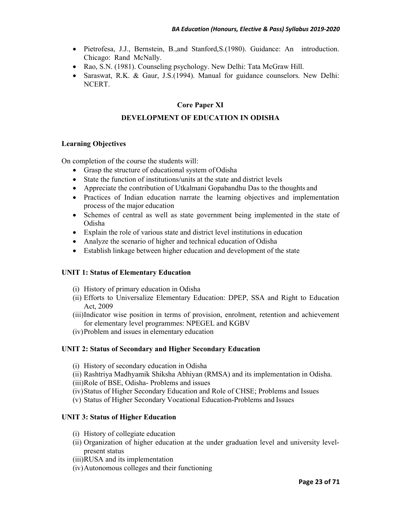- Pietrofesa, J.J., Bernstein, B.,and Stanford,S.(1980). Guidance: An introduction. Chicago: Rand McNally.
- Rao, S.N. (1981). Counseling psychology. New Delhi: Tata McGraw Hill.
- Saraswat, R.K. & Gaur, J.S.(1994). Manual for guidance counselors. New Delhi: NCERT.

## **Core Paper XI**

## **DEVELOPMENT OF EDUCATION IN ODISHA**

#### **Learning Objectives**

On completion of the course the students will:

- Grasp the structure of educational system of Odisha
- State the function of institutions/units at the state and district levels
- Appreciate the contribution of Utkalmani Gopabandhu Das to the thoughts and
- Practices of Indian education narrate the learning objectives and implementation process of the major education
- Schemes of central as well as state government being implemented in the state of Odisha
- Explain the role of various state and district level institutions in education
- Analyze the scenario of higher and technical education of Odisha
- Establish linkage between higher education and development of the state

## **UNIT 1: Status of Elementary Education**

- (i) History of primary education in Odisha
- (ii) Efforts to Universalize Elementary Education: DPEP, SSA and Right to Education Act, 2009
- (iii)Indicator wise position in terms of provision, enrolment, retention and achievement for elementary level programmes: NPEGEL and KGBV
- (iv)Problem and issues in elementary education

#### **UNIT 2: Status of Secondary and Higher Secondary Education**

- (i) History of secondary education in Odisha
- (ii) Rashtriya Madhyamik Shiksha Abhiyan (RMSA) and its implementation in Odisha.
- (iii)Role of BSE, Odisha- Problems and issues
- (iv)Status of Higher Secondary Education and Role of CHSE; Problems and Issues
- (v) Status of Higher Secondary Vocational Education-Problems and Issues

#### **UNIT 3: Status of Higher Education**

- (i) History of collegiate education
- (ii) Organization of higher education at the under graduation level and university levelpresent status
- (iii)RUSA and its implementation
- (iv)Autonomous colleges and their functioning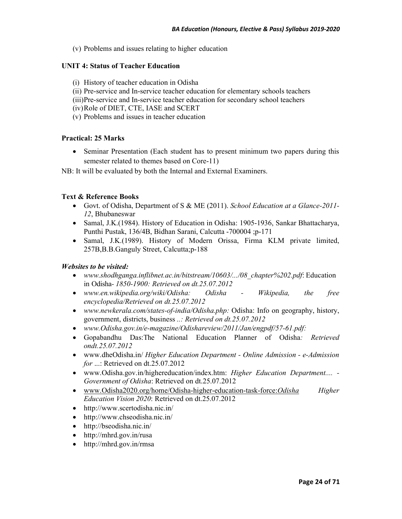(v) Problems and issues relating to higher education

## **UNIT 4: Status of Teacher Education**

- (i) History of teacher education in Odisha
- (ii) Pre-service and In-service teacher education for elementary schools teachers
- (iii)Pre-service and In-service teacher education for secondary school teachers
- (iv)Role of DIET, CTE, IASE and SCERT
- (v) Problems and issues in teacher education

## **Practical: 25 Marks**

• Seminar Presentation (Each student has to present minimum two papers during this semester related to themes based on Core-11)

NB: It will be evaluated by both the Internal and External Examiners.

## **Text & Reference Books**

- Govt. of Odisha, Department of S & ME (2011). *School Education at a Glance-2011- 12*, Bhubaneswar
- Samal, J.K. (1984). History of Education in Odisha: 1905-1936, Sankar Bhattacharya, Punthi Pustak, 136/4B, Bidhan Sarani, Calcutta -700004 ;p-171
- Samal, J.K. (1989). History of Modern Orissa, Firma KLM private limited, 257B,B.B.Ganguly Street, Calcutta;p-188

## *Websites to be visited:*

- *www.shodhganga.inflibnet.ac.in/bitstream/10603/.../08\_chapter%202.pdf*: Education in Odisha*- 1850-1900: Retrieved on dt.25.07.2012*
- *www.en.wikipedia.org/wiki/Odisha: Odisha Wikipedia, the free encyclopedia/Retrieved on dt.25.07.2012*
- *www.newkerala.com/states-of-india/Odisha.php:* Odisha: Info on geography, history, government, districts, business *..: Retrieved on dt.25.07.2012*
- *www.Odisha.gov.in/e-magazine/Odishareview/2011/Jan/engpdf/57-61.pdf:*
- Gopabandhu Das:The National Education Planner of Odisha*: Retrieved ondt.25.07.2012*
- www.dheOdisha.in/ *Higher Education Department Online Admission e-Admission for* ...: Retrieved on dt.25.07.2012
- www.Odisha.gov.in/highereducation/index.htm: *Higher Education Department.... - Government of Odisha*: Retrieved on dt.25.07.2012
- www.Odisha2020.org/home/Odisha-higher-education-task-force:*Odisha Higher Education Vision 2020*: Retrieved on dt.25.07.2012
- http://www.scertodisha.nic.in/
- http://www.chseodisha.nic.in/
- http://bseodisha.nic.in/
- http://mhrd.gov.in/rusa
- http://mhrd.gov.in/rmsa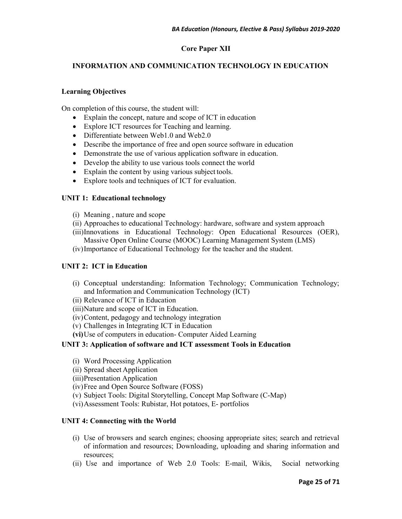## **Core Paper XII**

## **INFORMATION AND COMMUNICATION TECHNOLOGY IN EDUCATION**

#### **Learning Objectives**

On completion of this course, the student will:

- Explain the concept, nature and scope of ICT in education
- Explore ICT resources for Teaching and learning.
- Differentiate between Web1.0 and Web2.0
- Describe the importance of free and open source software in education
- Demonstrate the use of various application software in education.
- Develop the ability to use various tools connect the world
- Explain the content by using various subject tools.
- Explore tools and techniques of ICT for evaluation.

#### **UNIT 1: Educational technology**

- (i) Meaning , nature and scope
- (ii) Approaches to educational Technology: hardware, software and system approach
- (iii)Innovations in Educational Technology: Open Educational Resources (OER), Massive Open Online Course (MOOC) Learning Management System (LMS)
- (iv)Importance of Educational Technology for the teacher and the student.

#### **UNIT 2: ICT in Education**

- (i) Conceptual understanding: Information Technology; Communication Technology; and Information and Communication Technology (ICT)
- (ii) Relevance of ICT in Education
- (iii)Nature and scope of ICT in Education.
- (iv)Content, pedagogy and technology integration
- (v) Challenges in Integrating ICT in Education
- **(vi)**Use of computers in education- Computer Aided Learning

#### **UNIT 3: Application of software and ICT assessment Tools in Education**

- (i) Word Processing Application
- (ii) Spread sheet Application
- (iii)Presentation Application
- (iv)Free and Open Source Software (FOSS)
- (v) Subject Tools: Digital Storytelling, Concept Map Software (C-Map)
- (vi)Assessment Tools: Rubistar, Hot potatoes, E- portfolios

#### **UNIT 4: Connecting with the World**

- (i) Use of browsers and search engines; choosing appropriate sites; search and retrieval of information and resources; Downloading, uploading and sharing information and resources;
- (ii) Use and importance of Web 2.0 Tools: E-mail, Wikis, Social networking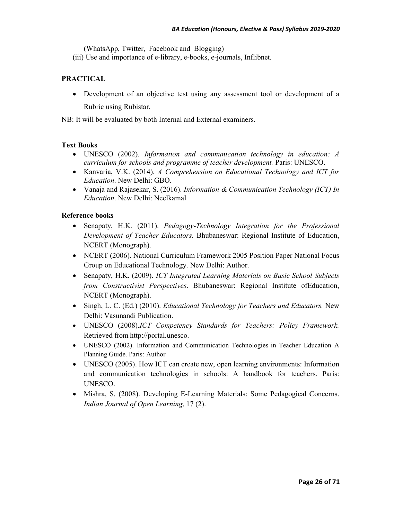(WhatsApp, Twitter, Facebook and Blogging)

(iii) Use and importance of e-library, e-books, e-journals, Inflibnet.

## **PRACTICAL**

• Development of an objective test using any assessment tool or development of a Rubric using Rubistar.

NB: It will be evaluated by both Internal and External examiners.

## **Text Books**

- UNESCO (2002). *Information and communication technology in education: A curriculum for schools and programme of teacher development.* Paris: UNESCO.
- Kanvaria, V.K. (2014). *A Comprehension on Educational Technology and ICT for Education*. New Delhi: GBO.
- Vanaja and Rajasekar, S. (2016). *Information & Communication Technology (ICT) In Education*. New Delhi: Neelkamal

- Senapaty, H.K. (2011). *Pedagogy-Technology Integration for the Professional Development of Teacher Educators.* Bhubaneswar: Regional Institute of Education, NCERT (Monograph).
- NCERT (2006). National Curriculum Framework 2005 Position Paper National Focus Group on Educational Technology. New Delhi: Author.
- Senapaty, H.K. (2009). *ICT Integrated Learning Materials on Basic School Subjects from Constructivist Perspectives*. Bhubaneswar: Regional Institute ofEducation, NCERT (Monograph).
- Singh, L. C. (Ed.) (2010). *Educational Technology for Teachers and Educators.* New Delhi: Vasunandi Publication.
- UNESCO (2008).*ICT Competency Standards for Teachers: Policy Framework.*  Retrieved from http://portal.unesco.
- UNESCO (2002). Information and Communication Technologies in Teacher Education A Planning Guide. Paris: Author
- UNESCO (2005). How ICT can create new, open learning environments: Information and communication technologies in schools: A handbook for teachers. Paris: UNESCO.
- Mishra, S. (2008). Developing E-Learning Materials: Some Pedagogical Concerns. *Indian Journal of Open Learning*, 17 (2).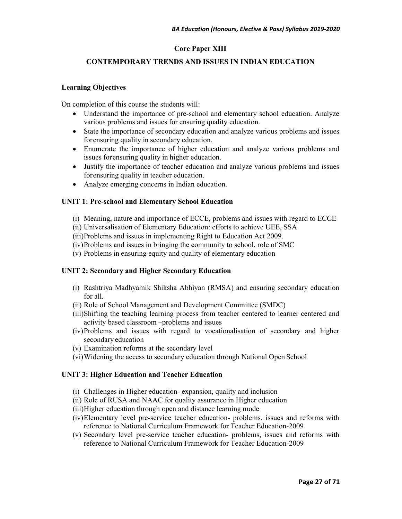## **Core Paper XIII**

## **CONTEMPORARY TRENDS AND ISSUES IN INDIAN EDUCATION**

#### **Learning Objectives**

On completion of this course the students will:

- Understand the importance of pre-school and elementary school education. Analyze various problems and issues for ensuring quality education.
- State the importance of secondary education and analyze various problems and issues for ensuring quality in secondary education.
- Enumerate the importance of higher education and analyze various problems and issues for ensuring quality in higher education.
- Justify the importance of teacher education and analyze various problems and issues for ensuring quality in teacher education.
- Analyze emerging concerns in Indian education.

#### **UNIT 1: Pre-school and Elementary School Education**

- (i) Meaning, nature and importance of ECCE, problems and issues with regard to ECCE
- (ii) Universalisation of Elementary Education: efforts to achieve UEE, SSA
- (iii)Problems and issues in implementing Right to Education Act 2009.
- (iv)Problems and issues in bringing the community to school, role of SMC
- (v) Problems in ensuring equity and quality of elementary education

#### **UNIT 2: Secondary and Higher Secondary Education**

- (i) Rashtriya Madhyamik Shiksha Abhiyan (RMSA) and ensuring secondary education for all.
- (ii) Role of School Management and Development Committee (SMDC)
- (iii)Shifting the teaching learning process from teacher centered to learner centered and activity based classroom –problems and issues
- (iv)Problems and issues with regard to vocationalisation of secondary and higher secondary education
- (v) Examination reforms at the secondary level
- (vi)Widening the access to secondary education through National Open School

#### **UNIT 3: Higher Education and Teacher Education**

- (i) Challenges in Higher education- expansion, quality and inclusion
- (ii) Role of RUSA and NAAC for quality assurance in Higher education
- (iii)Higher education through open and distance learning mode
- (iv)Elementary level pre-service teacher education- problems, issues and reforms with reference to National Curriculum Framework for Teacher Education-2009
- (v) Secondary level pre-service teacher education- problems, issues and reforms with reference to National Curriculum Framework for Teacher Education-2009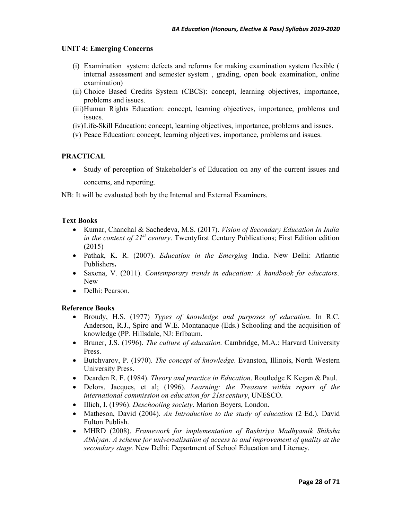#### **UNIT 4: Emerging Concerns**

- (i) Examination system: defects and reforms for making examination system flexible ( internal assessment and semester system , grading, open book examination, online examination)
- (ii) Choice Based Credits System (CBCS): concept, learning objectives, importance, problems and issues.
- (iii)Human Rights Education: concept, learning objectives, importance, problems and issues.
- (iv)Life-Skill Education: concept, learning objectives, importance, problems and issues.
- (v) Peace Education: concept, learning objectives, importance, problems and issues.

#### **PRACTICAL**

• Study of perception of Stakeholder's of Education on any of the current issues and concerns, and reporting.

NB: It will be evaluated both by the Internal and External Examiners.

#### **Text Books**

- Kumar, Chanchal & Sachedeva, M.S. (2017). *Vision of Secondary Education In India in the context of 21st century*. Twentyfirst Century Publications; First Edition edition (2015)
- Pathak, K. R. (2007). *Education in the Emerging* India. New Delhi: Atlantic Publishers**.**
- Saxena, V. (2011). *Contemporary trends in education: A handbook for educators*. New
- Delhi<sup>·</sup> Pearson

- Broudy, H.S. (1977) *Types of knowledge and purposes of education*. In R.C. Anderson, R.J., Spiro and W.E. Montanaque (Eds.) Schooling and the acquisition of knowledge (PP. Hillsdale, NJ: Erlbaum.
- Bruner, J.S. (1996). *The culture of education*. Cambridge, M.A.: Harvard University Press.
- Butchvarov, P. (1970). *The concept of knowledge*. Evanston, Illinois, North Western University Press.
- Dearden R. F. (1984). *Theory and practice in Education*. Routledge K Kegan & Paul.
- Delors, Jacques, et al; (1996). *Learning: the Treasure within report of the international commission on education for 21st century*, UNESCO.
- Illich, I. (1996). *Deschooling society*. Marion Boyers, London.
- Matheson, David (2004). *An Introduction to the study of education* (2 Ed.). David Fulton Publish.
- MHRD (2008). *Framework for implementation of Rashtriya Madhyamik Shiksha Abhiyan: A scheme for universalisation of access to and improvement of quality at the secondary stage.* New Delhi: Department of School Education and Literacy.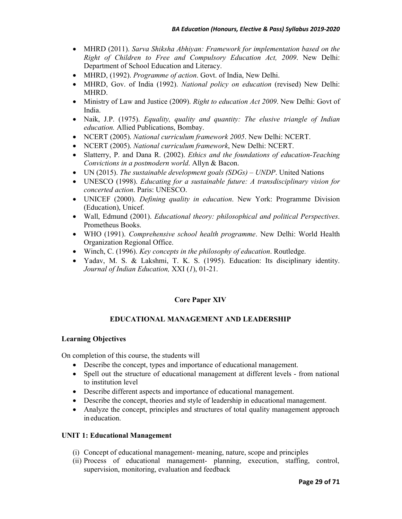- MHRD (2011). *Sarva Shiksha Abhiyan: Framework for implementation based on the Right of Children to Free and Compulsory Education Act, 2009*. New Delhi: Department of School Education and Literacy.
- MHRD, (1992). *Programme of action*. Govt. of India, New Delhi.
- MHRD, Gov. of India (1992). *National policy on education* (revised) New Delhi: MHRD.
- Ministry of Law and Justice (2009). *Right to education Act 2009*. New Delhi: Govt of India.
- Naik, J.P. (1975). *Equality, quality and quantity: The elusive triangle of Indian education.* Allied Publications, Bombay.
- NCERT (2005). *National curriculum framework 2005*. New Delhi: NCERT.
- NCERT (2005). *National curriculum framework*, New Delhi: NCERT.
- Slatterry, P. and Dana R. (2002). *Ethics and the foundations of education-Teaching Convictions in a postmodern world*. Allyn & Bacon.
- UN (2015). *The sustainable development goals (SDGs) UNDP*. United Nations
- UNESCO (1998). *Educating for a sustainable future: A transdisciplinary vision for concerted action*. Paris: UNESCO.
- UNICEF (2000). *Defining quality in education*. New York: Programme Division (Education), Unicef.
- Wall, Edmund (2001). *Educational theory: philosophical and political Perspectives*. Prometheus Books.
- WHO (1991). *Comprehensive school health programme*. New Delhi: World Health Organization Regional Office.
- Winch, C. (1996). *Key concepts in the philosophy of education*. Routledge.
- Yadav, M. S. & Lakshmi, T. K. S. (1995). Education: Its disciplinary identity. *Journal of Indian Education,* XXI (*1*), 01-21.

## **Core Paper XIV**

#### **EDUCATIONAL MANAGEMENT AND LEADERSHIP**

#### **Learning Objectives**

On completion of this course, the students will

- Describe the concept, types and importance of educational management.
- Spell out the structure of educational management at different levels from national to institution level
- Describe different aspects and importance of educational management.
- Describe the concept, theories and style of leadership in educational management.
- Analyze the concept, principles and structures of total quality management approach in education.

#### **UNIT 1: Educational Management**

- (i) Concept of educational management- meaning, nature, scope and principles
- (ii) Process of educational management- planning, execution, staffing, control, supervision, monitoring, evaluation and feedback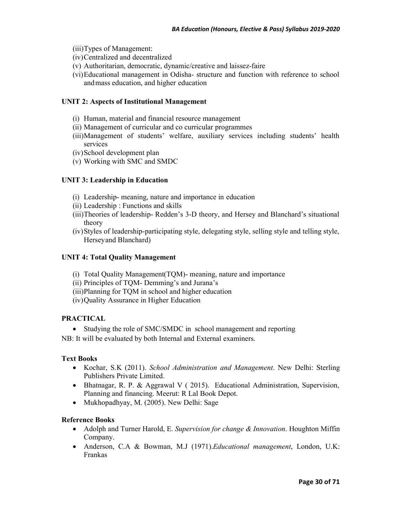- (iii)Types of Management:
- (iv)Centralized and decentralized
- (v) Authoritarian, democratic, dynamic/creative and laissez-faire
- (vi)Educational management in Odisha- structure and function with reference to school and mass education, and higher education

#### **UNIT 2: Aspects of Institutional Management**

- (i) Human, material and financial resource management
- (ii) Management of curricular and co curricular programmes
- (iii)Management of students' welfare, auxiliary services including students' health services
- (iv)School development plan
- (v) Working with SMC and SMDC

## **UNIT 3: Leadership in Education**

- (i) Leadership- meaning, nature and importance in education
- (ii) Leadership : Functions and skills
- (iii)Theories of leadership- Redden's 3-D theory, and Hersey and Blanchard's situational theory
- (iv)Styles of leadership-participating style, delegating style, selling style and telling style, Hersey and Blanchard)

### **UNIT 4: Total Quality Management**

- (i) Total Quality Management(TQM)- meaning, nature and importance
- (ii) Principles of TQM- Demming's and Jurana's
- (iii)Planning for TQM in school and higher education
- (iv)Quality Assurance in Higher Education

#### **PRACTICAL**

• Studying the role of SMC/SMDC in school management and reporting

NB: It will be evaluated by both Internal and External examiners.

#### **Text Books**

- Kochar, S.K (2011). *School Administration and Management*. New Delhi: Sterling Publishers Private Limited.
- Bhatnagar, R. P. & Aggrawal V (2015). Educational Administration, Supervision, Planning and financing. Meerut: R Lal Book Depot.
- Mukhopadhyay, M. (2005). New Delhi: Sage

- Adolph and Turner Harold, E. *Supervision for change & Innovation*. Houghton Miffin Company.
- Anderson, C.A & Bowman, M.J (1971).*Educational management*, London, U.K: Frankas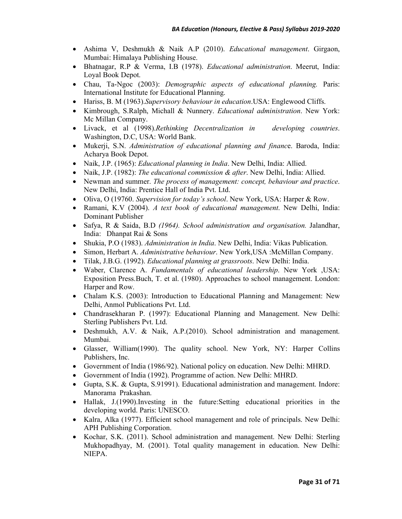- Ashima V, Deshmukh & Naik A.P (2010). *Educational management*. Girgaon, Mumbai: Himalaya Publishing House.
- Bhatnagar, R.P & Verma, I.B (1978). *Educational administration*. Meerut, India: Loyal Book Depot.
- Chau, Ta-Ngoc (2003): *Demographic aspects of educational planning.* Paris: International Institute for Educational Planning.
- Hariss, B. M (1963).*Supervisory behaviour in education*.USA: Englewood Cliffs.
- Kimbrough, S.Ralph, Michall & Nunnery. *Educational administration*. New York: Mc Millan Company.
- Livack, et al (1998).*Rethinking Decentralization in developing countries*. Washington, D.C, USA: World Bank.
- Mukerji, S.N. *Administration of educational planning and financ*e. Baroda, India: Acharya Book Depot.
- Naik, J.P. (1965): *Educational planning in India*. New Delhi, India: Allied.
- Naik, J.P. (1982): *The educational commission & after*. New Delhi, India: Allied.
- Newman and summer. *The process of management: concept, behaviour and practice*. New Delhi, India: Prentice Hall of India Pvt. Ltd.
- Oliva, O (19760. *Supervision for today's school*. New York, USA: Harper & Row.
- Ramani, K.V (2004). *A text book of educational management*. New Delhi, India: Dominant Publisher
- Safya, R & Saida, B.D *(1964). School administration and organisation.* Jalandhar, India: Dhanpat Rai & Sons
- Shukia, P.O (1983). *Administration in India*. New Delhi, India: Vikas Publication.
- Simon, Herbart A. *Administrative behaviour*. New York, USA :McMillan Company.
- Tilak, J.B.G. (1992). *Educational planning at grassroots*. New Delhi: India.
- Waber, Clarence A. *Fundamentals of educational leadership*. New York ,USA: Exposition Press.Buch, T. et al. (1980). Approaches to school management. London: Harper and Row.
- Chalam K.S. (2003): Introduction to Educational Planning and Management: New Delhi, Anmol Publications Pvt. Ltd.
- Chandrasekharan P. (1997): Educational Planning and Management. New Delhi: Sterling Publishers Pvt. Ltd.
- Deshmukh, A.V. & Naik, A.P.(2010). School administration and management. Mumbai.
- Glasser, William(1990). The quality school. New York, NY: Harper Collins Publishers, Inc.
- Government of India (1986/92). National policy on education. New Delhi: MHRD.
- Government of India (1992). Programme of action. New Delhi: MHRD.
- Gupta, S.K. & Gupta, S.91991). Educational administration and management. Indore: Manorama Prakashan.
- Hallak, J.(1990).Investing in the future:Setting educational priorities in the developing world. Paris: UNESCO.
- Kalra, Alka (1977). Efficient school management and role of principals. New Delhi: APH Publishing Corporation.
- Kochar, S.K. (2011). School administration and management. New Delhi: Sterling Mukhopadhyay, M. (2001). Total quality management in education. New Delhi: NIEPA.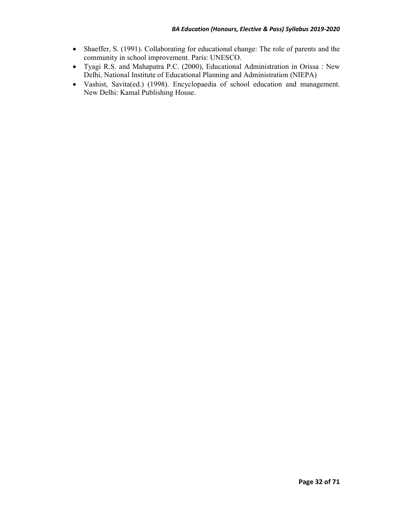- Shaeffer, S. (1991). Collaborating for educational change: The role of parents and the community in school improvement. Paris: UNESCO.
- Tyagi R.S. and Mahapatra P.C. (2000), Educational Administration in Orissa : New Delhi, National Institute of Educational Planning and Administration (NIEPA)
- Vashist, Savita(ed.) (1998). Encyclopaedia of school education and management. New Delhi: Kamal Publishing House.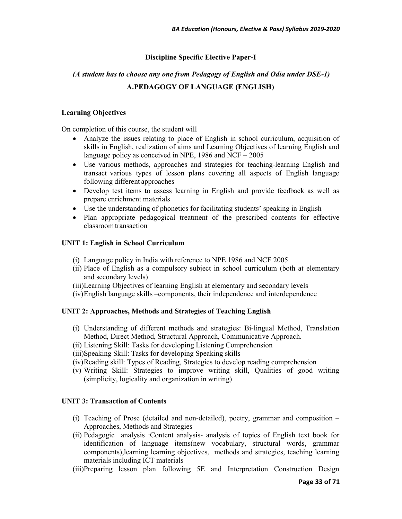## **Discipline Specific Elective Paper-I**

## *(A student has to choose any one from Pedagogy of English and Odia under DSE-1)*  **A.PEDAGOGY OF LANGUAGE (ENGLISH)**

#### **Learning Objectives**

On completion of this course, the student will

- Analyze the issues relating to place of English in school curriculum, acquisition of skills in English, realization of aims and Learning Objectives of learning English and language policy as conceived in NPE, 1986 and NCF – 2005
- Use various methods, approaches and strategies for teaching-learning English and transact various types of lesson plans covering all aspects of English language following different approaches
- Develop test items to assess learning in English and provide feedback as well as prepare enrichment materials
- Use the understanding of phonetics for facilitating students' speaking in English
- Plan appropriate pedagogical treatment of the prescribed contents for effective classroom transaction

#### **UNIT 1: English in School Curriculum**

- (i) Language policy in India with reference to NPE 1986 and NCF 2005
- (ii) Place of English as a compulsory subject in school curriculum (both at elementary and secondary levels)
- (iii)Learning Objectives of learning English at elementary and secondary levels
- (iv)English language skills –components, their independence and interdependence

#### **UNIT 2: Approaches, Methods and Strategies of Teaching English**

- (i) Understanding of different methods and strategies: Bi-lingual Method, Translation Method, Direct Method, Structural Approach, Communicative Approach.
- (ii) Listening Skill: Tasks for developing Listening Comprehension
- (iii)Speaking Skill: Tasks for developing Speaking skills
- (iv)Reading skill: Types of Reading, Strategies to develop reading comprehension
- (v) Writing Skill: Strategies to improve writing skill, Qualities of good writing (simplicity, logicality and organization in writing)

#### **UNIT 3: Transaction of Contents**

- (i) Teaching of Prose (detailed and non-detailed), poetry, grammar and composition Approaches, Methods and Strategies
- (ii) Pedagogic analysis :Content analysis- analysis of topics of English text book for identification of language items(new vocabulary, structural words, grammar components),learning learning objectives, methods and strategies, teaching learning materials including ICT materials
- (iii)Preparing lesson plan following 5E and Interpretation Construction Design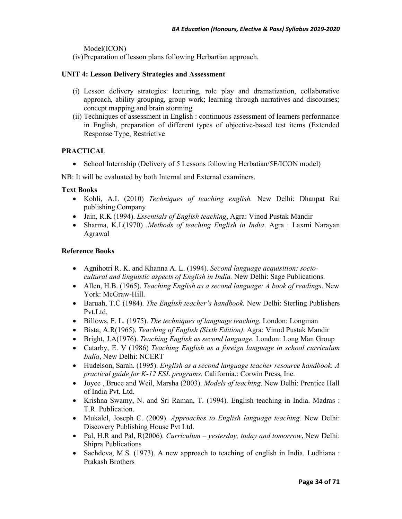Model(ICON)

(iv)Preparation of lesson plans following Herbartian approach.

## **UNIT 4: Lesson Delivery Strategies and Assessment**

- (i) Lesson delivery strategies: lecturing, role play and dramatization, collaborative approach, ability grouping, group work; learning through narratives and discourses; concept mapping and brain storming
- (ii) Techniques of assessment in English : continuous assessment of learners performance in English, preparation of different types of objective-based test items (Extended Response Type, Restrictive

## **PRACTICAL**

• School Internship (Delivery of 5 Lessons following Herbatian/5E/ICON model)

NB: It will be evaluated by both Internal and External examiners.

## **Text Books**

- Kohli, A.L (2010) *Techniques of teaching english.* New Delhi: Dhanpat Rai publishing Company
- Jain, R.K (1994). *Essentials of English teaching*, Agra: Vinod Pustak Mandir
- Sharma, K.L(1970) .*Methods of teaching English in India*. Agra : Laxmi Narayan Agrawal

- Agnihotri R. K. and Khanna A. L. (1994). *Second language acquisition: sociocultural and linguistic aspects of English in India.* New Delhi: Sage Publications.
- Allen, H.B. (1965). *Teaching English as a second language: A book of readings*. New York: McGraw-Hill.
- Baruah, T.C (1984). *The English teacher's handbook.* New Delhi: Sterling Publishers Pvt.Ltd,
- Billows, F. L. (1975). *The techniques of language teaching.* London: Longman
- Bista, A.R(1965). *Teaching of English (Sixth Edition)*. Agra: Vinod Pustak Mandir
- Bright, J.A(1976). *Teaching English as second language.* London: Long Man Group
- Catarby, E. V (1986) *Teaching English as a foreign language in school curriculum India*, New Delhi: NCERT
- Hudelson, Sarah. (1995). *English as a second language teacher resource handbook. A practical guide for K-12 ESL programs.* California.: Corwin Press, Inc.
- Joyce , Bruce and Weil, Marsha (2003). *Models of teaching*. New Delhi: Prentice Hall of India Pvt. Ltd.
- Krishna Swamy, N. and Sri Raman, T. (1994). English teaching in India. Madras : T.R. Publication.
- Mukalel, Joseph C. (2009). *Approaches to English language teaching.* New Delhi: Discovery Publishing House Pvt Ltd.
- Pal, H.R and Pal, R(2006). *Curriculum yesterday, today and tomorrow*, New Delhi: Shipra Publications
- Sachdeva, M.S. (1973). A new approach to teaching of english in India. Ludhiana : Prakash Brothers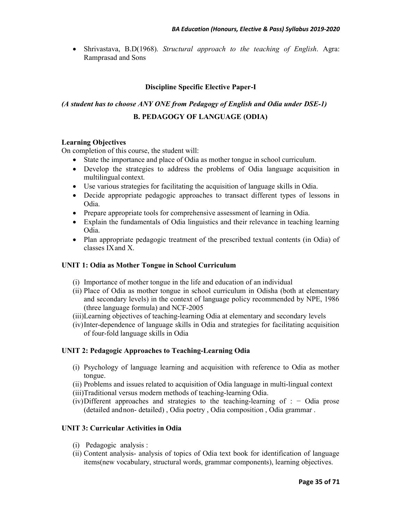• Shrivastava, B.D(1968). *Structural approach to the teaching of English*. Agra: Ramprasad and Sons

### **Discipline Specific Elective Paper-I**

# *(A student has to choose ANY ONE from Pedagogy of English and Odia under DSE-1)*  **B. PEDAGOGY OF LANGUAGE (ODIA)**

#### **Learning Objectives**

On completion of this course, the student will:

- State the importance and place of Odia as mother tongue in school curriculum.
- Develop the strategies to address the problems of Odia language acquisition in multilingual context.
- Use various strategies for facilitating the acquisition of language skills in Odia.
- Decide appropriate pedagogic approaches to transact different types of lessons in Odia.
- Prepare appropriate tools for comprehensive assessment of learning in Odia.
- Explain the fundamentals of Odia linguistics and their relevance in teaching learning Odia.
- Plan appropriate pedagogic treatment of the prescribed textual contents (in Odia) of classes IX and X.

#### **UNIT 1: Odia as Mother Tongue in School Curriculum**

- (i) Importance of mother tongue in the life and education of an individual
- (ii) Place of Odia as mother tongue in school curriculum in Odisha (both at elementary and secondary levels) in the context of language policy recommended by NPE, 1986 (three language formula) and NCF-2005
- (iii)Learning objectives of teaching-learning Odia at elementary and secondary levels
- (iv)Inter-dependence of language skills in Odia and strategies for facilitating acquisition of four-fold language skills in Odia

#### **UNIT 2: Pedagogic Approaches to Teaching-Learning Odia**

- (i) Psychology of language learning and acquisition with reference to Odia as mother tongue.
- (ii) Problems and issues related to acquisition of Odia language in multi-lingual context
- (iii)Traditional versus modern methods of teaching-learning Odia.
- $(iv)$ Different approaches and strategies to the teaching-learning of : − Odia prose (detailed and non- detailed) , Odia poetry , Odia composition , Odia grammar .

#### **UNIT 3: Curricular Activities in Odia**

- (i) Pedagogic analysis :
- (ii) Content analysis- analysis of topics of Odia text book for identification of language items(new vocabulary, structural words, grammar components), learning objectives.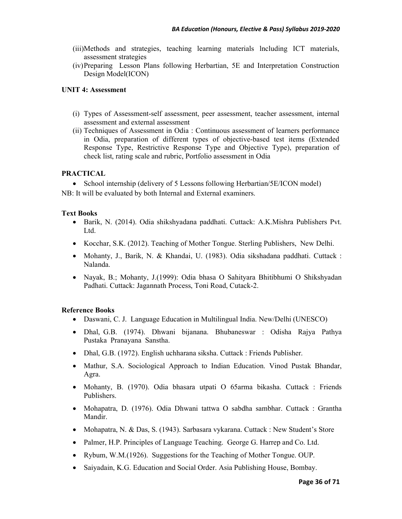- (iii)Methods and strategies, teaching learning materials lncluding ICT materials, assessment strategies
- (iv)Preparing Lesson Plans following Herbartian, 5E and Interpretation Construction Design Model(ICON)

## **UNIT 4: Assessment**

- (i) Types of Assessment-self assessment, peer assessment, teacher assessment, internal assessment and external assessment
- (ii) Techniques of Assessment in Odia : Continuous assessment of learners performance in Odia, preparation of different types of objective-based test items (Extended Response Type, Restrictive Response Type and Objective Type), preparation of check list, rating scale and rubric, Portfolio assessment in Odia

## **PRACTICAL**

• School internship (delivery of 5 Lessons following Herbartian/5E/ICON model)

NB: It will be evaluated by both Internal and External examiners.

## **Text Books**

- Barik, N. (2014). Odia shikshyadana paddhati. Cuttack: A.K.Mishra Publishers Pvt. Ltd.
- Kocchar, S.K. (2012). Teaching of Mother Tongue. Sterling Publishers, New Delhi.
- Mohanty, J., Barik, N. & Khandai, U. (1983). Odia sikshadana paddhati. Cuttack : Nalanda.
- Nayak, B.; Mohanty, J.(1999): Odia bhasa O Sahityara Bhitibhumi O Shikshyadan Padhati. Cuttack: Jagannath Process, Toni Road, Cutack-2.

- Daswani, C. J. Language Education in Multilingual India. New/Delhi (UNESCO)
- Dhal, G.B. (1974). Dhwani bijanana. Bhubaneswar : Odisha Rajya Pathya Pustaka Pranayana Sanstha.
- Dhal, G.B. (1972). English uchharana siksha. Cuttack : Friends Publisher.
- Mathur, S.A. Sociological Approach to Indian Education. Vinod Pustak Bhandar, Agra.
- Mohanty, B. (1970). Odia bhasara utpati O 65arma bikasha. Cuttack : Friends Publishers.
- Mohapatra, D. (1976). Odia Dhwani tattwa O sabdha sambhar. Cuttack : Grantha Mandir.
- Mohapatra, N. & Das, S. (1943). Sarbasara vykarana. Cuttack : New Student's Store
- Palmer, H.P. Principles of Language Teaching. George G. Harrep and Co. Ltd.
- Rybum, W.M. (1926). Suggestions for the Teaching of Mother Tongue. OUP.
- Saiyadain, K.G. Education and Social Order. Asia Publishing House, Bombay.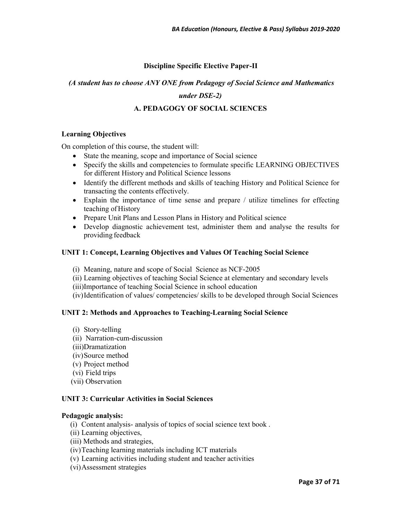## **Discipline Specific Elective Paper-II**

## *(A student has to choose ANY ONE from Pedagogy of Social Science and Mathematics*

## *under DSE-2)*

## **A. PEDAGOGY OF SOCIAL SCIENCES**

#### **Learning Objectives**

On completion of this course, the student will:

- State the meaning, scope and importance of Social science
- Specify the skills and competencies to formulate specific LEARNING OBJECTIVES for different History and Political Science lessons
- Identify the different methods and skills of teaching History and Political Science for transacting the contents effectively.
- Explain the importance of time sense and prepare / utilize timelines for effecting teaching of History
- Prepare Unit Plans and Lesson Plans in History and Political science
- Develop diagnostic achievement test, administer them and analyse the results for providing feedback

#### **UNIT 1: Concept, Learning Objectives and Values Of Teaching Social Science**

- (i) Meaning, nature and scope of Social Science as NCF-2005
- (ii) Learning objectives of teaching Social Science at elementary and secondary levels
- (iii)Importance of teaching Social Science in school education
- (iv)Identification of values/ competencies/ skills to be developed through Social Sciences

#### **UNIT 2: Methods and Approaches to Teaching-Learning Social Science**

- (i) Story-telling
- (ii) Narration-cum-discussion
- (iii)Dramatization
- (iv)Source method
- (v) Project method
- (vi) Field trips
- (vii) Observation

#### **UNIT 3: Curricular Activities in Social Sciences**

#### **Pedagogic analysis:**

- (i) Content analysis- analysis of topics of social science text book .
- (ii) Learning objectives,
- (iii) Methods and strategies,
- (iv)Teaching learning materials including ICT materials
- (v) Learning activities including student and teacher activities
- (vi)Assessment strategies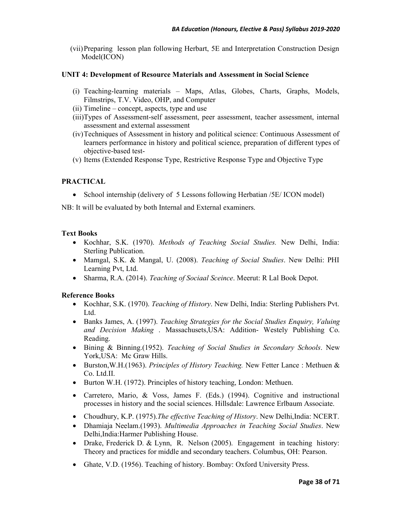(vii)Preparing lesson plan following Herbart, 5E and Interpretation Construction Design Model(ICON)

#### **UNIT 4: Development of Resource Materials and Assessment in Social Science**

- (i) Teaching-learning materials Maps, Atlas, Globes, Charts, Graphs, Models, Filmstrips, T.V. Video, OHP, and Computer
- (ii) Timeline concept, aspects, type and use
- (iii)Types of Assessment-self assessment, peer assessment, teacher assessment, internal assessment and external assessment
- (iv)Techniques of Assessment in history and political science: Continuous Assessment of learners performance in history and political science, preparation of different types of objective-based test-
- (v) Items (Extended Response Type, Restrictive Response Type and Objective Type

## **PRACTICAL**

• School internship (delivery of 5 Lessons following Herbatian /5E/ ICON model)

NB: It will be evaluated by both Internal and External examiners.

#### **Text Books**

- Kochhar, S.K. (1970). *Methods of Teaching Social Studies.* New Delhi, India: Sterling Publication.
- Mamgal, S.K. & Mangal, U. (2008). *Teaching of Social Studies*. New Delhi: PHI Learning Pvt, Ltd.
- Sharma, R.A. (2014). *Teaching of Sociaal Sceince*. Meerut: R Lal Book Depot.

- Kochhar, S.K. (1970). *Teaching of History*. New Delhi, India: Sterling Publishers Pvt. Ltd.
- Banks James, A. (1997). *Teaching Strategies for the Social Studies Enquiry, Valuing and Decision Making* . Massachusets,USA: Addition- Westely Publishing Co. Reading.
- Bining & Binning.(1952). *Teaching of Social Studies in Secondary Schools*. New York, USA: Mc Graw Hills.
- Burston,W.H.(1963). *Principles of History Teaching.* New Fetter Lance : Methuen & Co. Ltd.II.
- Burton W.H. (1972). Principles of history teaching, London: Methuen.
- Carretero, Mario, & Voss, James F. (Eds.) (1994). Cognitive and instructional processes in history and the social sciences. Hillsdale: Lawrence Erlbaum Associate.
- Choudhury, K.P. (1975).*The effective Teaching of History*. New Delhi,India: NCERT.
- Dhamiaja Neelam.(1993). *Multimedia Approaches in Teaching Social Studies*. New Delhi,India:Harmer Publishing House.
- Drake, Frederick D. & Lynn, R. Nelson (2005). Engagement in teaching history: Theory and practices for middle and secondary teachers. Columbus, OH: Pearson.
- Ghate, V.D. (1956). Teaching of history. Bombay: Oxford University Press.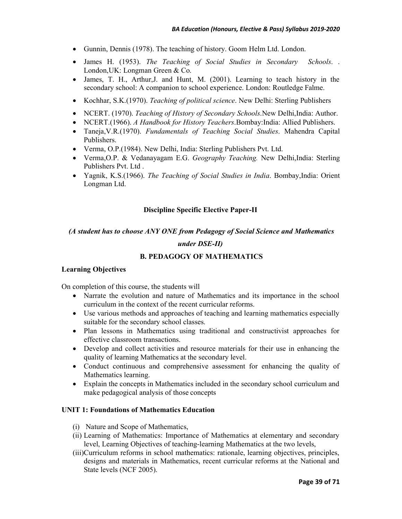- Gunnin, Dennis (1978). The teaching of history. Goom Helm Ltd. London.
- James H. (1953). *The Teaching of Social Studies in Secondary Schools*. . London,UK: Longman Green & Co.
- James, T. H., Arthur,J. and Hunt, M. (2001). Learning to teach history in the secondary school: A companion to school experience. London: Routledge Falme.
- Kochhar, S.K.(1970). *Teaching of political science*. New Delhi: Sterling Publishers
- NCERT. (1970). *Teaching of History of Secondary Schools*.New Delhi,India: Author.
- NCERT.(1966). *A Handbook for History Teachers*.Bombay:India: Allied Publishers.
- Taneja,V.R.(1970). *Fundamentals of Teaching Social Studies*. Mahendra Capital Publishers.
- Verma, O.P.(1984). New Delhi, India: Sterling Publishers Pvt. Ltd.
- Verma,O.P. & Vedanayagam E.G. *Geography Teaching.* New Delhi,India: Sterling Publishers Pvt. Ltd .
- Yagnik, K.S.(1966). *The Teaching of Social Studies in India*. Bombay,India: Orient Longman Ltd.

#### **Discipline Specific Elective Paper-II**

 *(A student has to choose ANY ONE from Pedagogy of Social Science and Mathematics* 

#### *under DSE-II)*

#### **B. PEDAGOGY OF MATHEMATICS**

#### **Learning Objectives**

On completion of this course, the students will

- Narrate the evolution and nature of Mathematics and its importance in the school curriculum in the context of the recent curricular reforms.
- Use various methods and approaches of teaching and learning mathematics especially suitable for the secondary school classes.
- Plan lessons in Mathematics using traditional and constructivist approaches for effective classroom transactions.
- Develop and collect activities and resource materials for their use in enhancing the quality of learning Mathematics at the secondary level.
- Conduct continuous and comprehensive assessment for enhancing the quality of Mathematics learning.
- Explain the concepts in Mathematics included in the secondary school curriculum and make pedagogical analysis of those concepts

#### **UNIT 1: Foundations of Mathematics Education**

- (i) Nature and Scope of Mathematics,
- (ii) Learning of Mathematics: Importance of Mathematics at elementary and secondary level, Learning Objectives of teaching-learning Mathematics at the two levels,
- (iii)Curriculum reforms in school mathematics: rationale, learning objectives, principles, designs and materials in Mathematics, recent curricular reforms at the National and State levels (NCF 2005).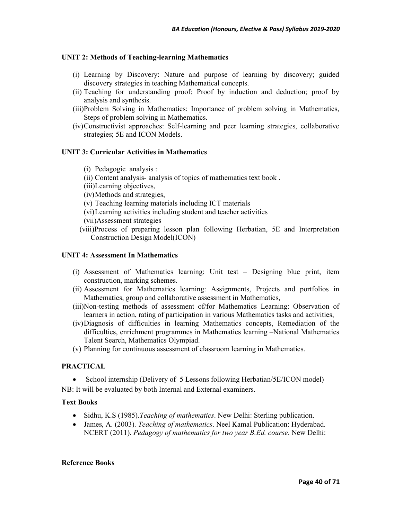### **UNIT 2: Methods of Teaching-learning Mathematics**

- (i) Learning by Discovery: Nature and purpose of learning by discovery; guided discovery strategies in teaching Mathematical concepts.
- (ii) Teaching for understanding proof: Proof by induction and deduction; proof by analysis and synthesis.
- (iii)Problem Solving in Mathematics: Importance of problem solving in Mathematics, Steps of problem solving in Mathematics.
- (iv)Constructivist approaches: Self-learning and peer learning strategies, collaborative strategies; 5E and ICON Models.

#### **UNIT 3: Curricular Activities in Mathematics**

- (i) Pedagogic analysis :
- (ii) Content analysis- analysis of topics of mathematics text book .
- (iii)Learning objectives,
- (iv)Methods and strategies,
- (v) Teaching learning materials including ICT materials
- (vi)Learning activities including student and teacher activities
- (vii)Assessment strategies
- (viii)Process of preparing lesson plan following Herbatian, 5E and Interpretation Construction Design Model(ICON)

#### **UNIT 4: Assessment In Mathematics**

- (i) Assessment of Mathematics learning: Unit test Designing blue print, item construction, marking schemes.
- (ii) Assessment for Mathematics learning: Assignments, Projects and portfolios in Mathematics, group and collaborative assessment in Mathematics,
- (iii)Non-testing methods of assessment of/for Mathematics Learning: Observation of learners in action, rating of participation in various Mathematics tasks and activities,
- (iv)Diagnosis of difficulties in learning Mathematics concepts, Remediation of the difficulties, enrichment programmes in Mathematics learning –National Mathematics Talent Search, Mathematics Olympiad.
- (v) Planning for continuous assessment of classroom learning in Mathematics.

### **PRACTICAL**

• School internship (Delivery of 5 Lessons following Herbatian/SE/ICON model) NB: It will be evaluated by both Internal and External examiners.

#### **Text Books**

- Sidhu, K.S (1985).*Teaching of mathematics*. New Delhi: Sterling publication.
- James, A. (2003). *Teaching of mathematics*. Neel Kamal Publication: Hyderabad. NCERT (2011). *Pedagogy of mathematics for two year B.Ed. course*. New Delhi: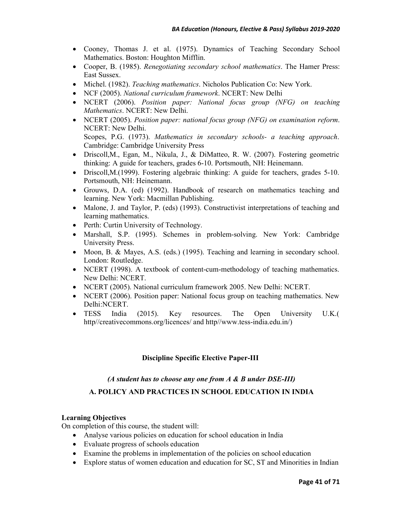- Cooney, Thomas J. et al. (1975). Dynamics of Teaching Secondary School Mathematics. Boston: Houghton Mifflin.
- Cooper, B. (1985). *Renegotiating secondary school mathematics*. The Hamer Press: East Sussex.
- Michel. (1982). *Teaching mathematics*. Nicholos Publication Co: New York.
- NCF (2005). *National curriculum framework*. NCERT: New Delhi
- NCERT (2006). *Position paper: National focus group (NFG) on teaching Mathematics*. NCERT: New Delhi.
- NCERT (2005). *Position paper: national focus group (NFG) on examination reform*. NCERT: New Delhi. Scopes, P.G. (1973). *Mathematics in secondary schools- a teaching approach*. Cambridge: Cambridge University Press
- Driscoll,M., Egan, M., Nikula, J., & DiMatteo, R. W. (2007). Fostering geometric thinking: A guide for teachers, grades 6-10. Portsmouth, NH: Heinemann.
- Driscoll,M.(1999). Fostering algebraic thinking: A guide for teachers, grades 5-10. Portsmouth, NH: Heinemann.
- Grouws, D.A. (ed) (1992). Handbook of research on mathematics teaching and learning. New York: Macmillan Publishing.
- Malone, J. and Taylor, P. (eds) (1993). Constructivist interpretations of teaching and learning mathematics.
- Perth: Curtin University of Technology.
- Marshall, S.P. (1995). Schemes in problem-solving. New York: Cambridge University Press.
- Moon, B. & Mayes, A.S. (eds.) (1995). Teaching and learning in secondary school. London: Routledge.
- NCERT (1998). A textbook of content-cum-methodology of teaching mathematics. New Delhi: NCERT.
- NCERT (2005). National curriculum framework 2005. New Delhi: NCERT.
- NCERT (2006). Position paper: National focus group on teaching mathematics. New Delhi:NCERT.
- TESS India (2015). Key resources. The Open University U.K.( http//creativecommons.org/licences/ and http//www.tess-india.edu.in/)

## **Discipline Specific Elective Paper-III**

#### *(A student has to choose any one from A & B under DSE-III)*

#### **A. POLICY AND PRACTICES IN SCHOOL EDUCATION IN INDIA**

#### **Learning Objectives**

On completion of this course, the student will:

- Analyse various policies on education for school education in India
- Evaluate progress of schools education
- Examine the problems in implementation of the policies on school education
- Explore status of women education and education for SC, ST and Minorities in Indian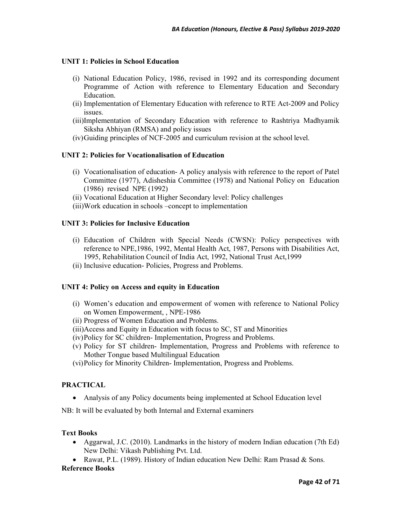#### **UNIT 1: Policies in School Education**

- (i) National Education Policy, 1986, revised in 1992 and its corresponding document Programme of Action with reference to Elementary Education and Secondary Education.
- (ii) Implementation of Elementary Education with reference to RTE Act-2009 and Policy issues.
- (iii)Implementation of Secondary Education with reference to Rashtriya Madhyamik Siksha Abhiyan (RMSA) and policy issues
- (iv)Guiding principles of NCF-2005 and curriculum revision at the school level.

#### **UNIT 2: Policies for Vocationalisation of Education**

- (i) Vocationalisation of education- A policy analysis with reference to the report of Patel Committee (1977), Adisheshia Committee (1978) and National Policy on Education (1986) revised NPE (1992)
- (ii) Vocational Education at Higher Secondary level: Policy challenges
- (iii)Work education in schools –concept to implementation

#### **UNIT 3: Policies for Inclusive Education**

- (i) Education of Children with Special Needs (CWSN): Policy perspectives with reference to NPE,1986, 1992, Mental Health Act, 1987, Persons with Disabilities Act, 1995, Rehabilitation Council of India Act, 1992, National Trust Act,1999
- (ii) Inclusive education- Policies, Progress and Problems.

#### **UNIT 4: Policy on Access and equity in Education**

- (i) Women's education and empowerment of women with reference to National Policy on Women Empowerment, , NPE-1986
- (ii) Progress of Women Education and Problems.
- (iii)Access and Equity in Education with focus to SC, ST and Minorities
- (iv)Policy for SC children- Implementation, Progress and Problems.
- (v) Policy for ST children- Implementation, Progress and Problems with reference to Mother Tongue based Multilingual Education
- (vi)Policy for Minority Children- Implementation, Progress and Problems.

#### **PRACTICAL**

• Analysis of any Policy documents being implemented at School Education level

NB: It will be evaluated by both Internal and External examiners

#### **Text Books**

- Aggarwal, J.C. (2010). Landmarks in the history of modern Indian education (7th Ed) New Delhi: Vikash Publishing Pvt. Ltd.
- Rawat, P.L. (1989). History of Indian education New Delhi: Ram Prasad  $\&$  Sons.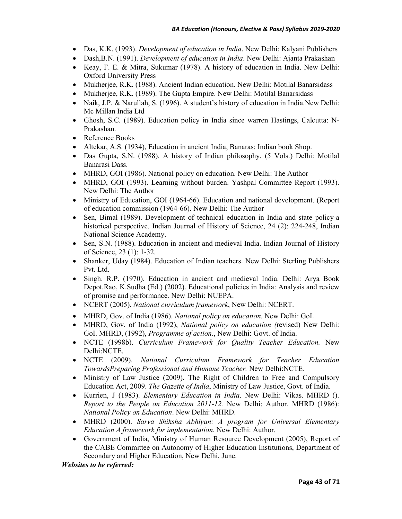- Das, K.K. (1993). *Development of education in India*. New Delhi: Kalyani Publishers
- Dash,B.N. (1991). *Development of education in India*. New Delhi: Ajanta Prakashan
- Keay, F. E. & Mitra, Sukumar (1978). A history of education in India. New Delhi: Oxford University Press
- Mukherjee, R.K. (1988). Ancient Indian education. New Delhi: Motilal Banarsidass
- Mukherjee, R.K. (1989). The Gupta Empire. New Delhi: Motilal Banarsidass
- Naik, J.P. & Narullah, S. (1996). A student's history of education in India. New Delhi: Mc Millan India Ltd
- Ghosh, S.C. (1989). Education policy in India since warren Hastings, Calcutta: N-Prakashan.
- Reference Books
- Altekar, A.S. (1934), Education in ancient India, Banaras: Indian book Shop.
- Das Gupta, S.N. (1988). A history of Indian philosophy. (5 Vols.) Delhi: Motilal Banarasi Dass.
- MHRD, GOI (1986). National policy on education. New Delhi: The Author
- MHRD, GOI (1993). Learning without burden. Yashpal Committee Report (1993). New Delhi: The Author
- Ministry of Education, GOI (1964-66). Education and national development. (Report of education commission (1964-66). New Delhi: The Author
- Sen, Bimal (1989). Development of technical education in India and state policy-a historical perspective. Indian Journal of History of Science, 24 (2): 224-248, Indian National Science Academy.
- Sen, S.N. (1988). Education in ancient and medieval India. Indian Journal of History of Science, 23 (1): 1-32.
- Shanker, Uday (1984). Education of Indian teachers. New Delhi: Sterling Publishers Pvt. Ltd.
- Singh. R.P. (1970). Education in ancient and medieval India. Delhi: Arya Book Depot.Rao, K.Sudha (Ed.) (2002). Educational policies in India: Analysis and review of promise and performance. New Delhi: NUEPA.
- NCERT (2005). *National curriculum framework*, New Delhi: NCERT.
- MHRD, Gov. of India (1986). *National policy on education.* New Delhi: GoI.
- MHRD, Gov. of India (1992), *National policy on education (*revised) New Delhi: GoI. MHRD, (1992), *Programme of action*., New Delhi: Govt. of India.
- NCTE (1998b). *Curriculum Framework for Quality Teacher Education.* New Delhi:NCTE.
- NCTE (2009). *National Curriculum Framework for Teacher Education TowardsPreparing Professional and Humane Teacher.* New Delhi:NCTE.
- Ministry of Law Justice (2009). The Right of Children to Free and Compulsory Education Act, 2009. *The Gazette of India*, Ministry of Law Justice, Govt. of India.
- Kurrien, J (1983). *Elementary Education in India*. New Delhi: Vikas. MHRD (). *Report to the People on Education 2011-12.* New Delhi: Author. MHRD (1986): *National Policy on Education*. New Delhi: MHRD.
- MHRD (2000). *Sarva Shiksha Abhiyan: A program for Universal Elementary Education A framework for implementation.* New Delhi: Author.
- Government of India, Ministry of Human Resource Development (2005), Report of the CABE Committee on Autonomy of Higher Education Institutions, Department of Secondary and Higher Education, New Delhi, June.

*Websites to be referred:*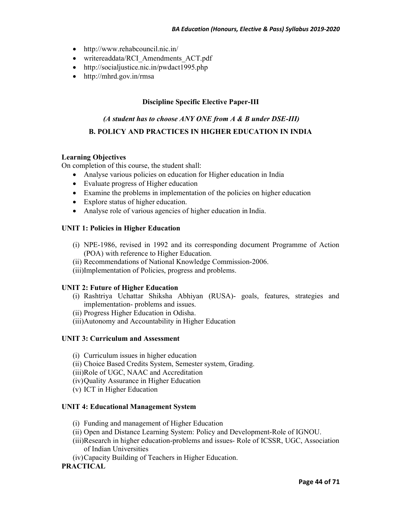- http://www.rehabcouncil.nic.in/
- writereaddata/RCI\_Amendments\_ACT.pdf
- http://socialjustice.nic.in/pwdact1995.php
- http://mhrd.gov.in/rmsa

## **Discipline Specific Elective Paper-III**

# *(A student has to choose ANY ONE from A & B under DSE-III)*  **B. POLICY AND PRACTICES IN HIGHER EDUCATION IN INDIA**

## **Learning Objectives**

On completion of this course, the student shall:

- Analyse various policies on education for Higher education in India
- Evaluate progress of Higher education
- Examine the problems in implementation of the policies on higher education
- Explore status of higher education.
- Analyse role of various agencies of higher education in India.

## **UNIT 1: Policies in Higher Education**

- (i) NPE-1986, revised in 1992 and its corresponding document Programme of Action (POA) with reference to Higher Education.
- (ii) Recommendations of National Knowledge Commission-2006.
- (iii)Implementation of Policies, progress and problems.

#### **UNIT 2: Future of Higher Education**

- (i) Rashtriya Uchattar Shiksha Abhiyan (RUSA)- goals, features, strategies and implementation- problems and issues.
- (ii) Progress Higher Education in Odisha.
- (iii)Autonomy and Accountability in Higher Education

#### **UNIT 3: Curriculum and Assessment**

- (i) Curriculum issues in higher education
- (ii) Choice Based Credits System, Semester system, Grading.
- (iii)Role of UGC, NAAC and Accreditation
- (iv)Quality Assurance in Higher Education
- (v) ICT in Higher Education

#### **UNIT 4: Educational Management System**

- (i) Funding and management of Higher Education
- (ii) Open and Distance Learning System: Policy and Development-Role of IGNOU.
- (iii)Research in higher education-problems and issues- Role of ICSSR, UGC, Association of Indian Universities
- (iv)Capacity Building of Teachers in Higher Education.

## **PRACTICAL**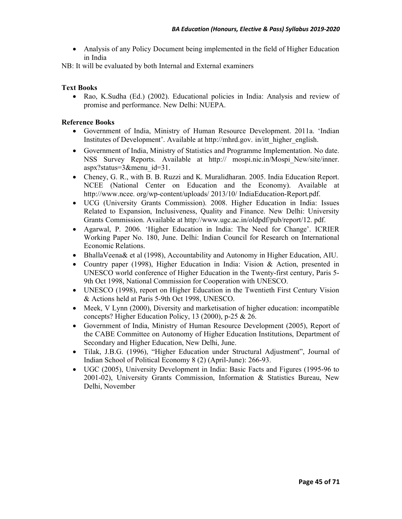• Analysis of any Policy Document being implemented in the field of Higher Education in India

NB: It will be evaluated by both Internal and External examiners

## **Text Books**

• Rao, K.Sudha (Ed.) (2002). Educational policies in India: Analysis and review of promise and performance. New Delhi: NUEPA.

- Government of India, Ministry of Human Resource Development. 2011a. 'Indian Institutes of Development'. Available at http://mhrd.gov. in/itt\_higher\_english.
- Government of India, Ministry of Statistics and Programme Implementation. No date. NSS Survey Reports. Available at http:// mospi.nic.in/Mospi\_New/site/inner. aspx?status=3&menu\_id=31.
- Cheney, G. R., with B. B. Ruzzi and K. Muralidharan. 2005. India Education Report. NCEE (National Center on Education and the Economy). Available at http://www.ncee. org/wp-content/uploads/ 2013/10/ IndiaEducation-Report.pdf.
- UCG (University Grants Commission). 2008. Higher Education in India: Issues Related to Expansion, Inclusiveness, Quality and Finance. New Delhi: University Grants Commission. Available at http://www.ugc.ac.in/oldpdf/pub/report/12. pdf.
- Agarwal, P. 2006. 'Higher Education in India: The Need for Change'. ICRIER Working Paper No. 180, June. Delhi: Indian Council for Research on International Economic Relations.
- BhallaVeena& et al (1998), Accountability and Autonomy in Higher Education, AIU.
- Country paper (1998), Higher Education in India: Vision  $\&$  Action, presented in UNESCO world conference of Higher Education in the Twenty-first century, Paris 5- 9th Oct 1998, National Commission for Cooperation with UNESCO.
- UNESCO (1998), report on Higher Education in the Twentieth First Century Vision & Actions held at Paris 5-9th Oct 1998, UNESCO.
- Meek, V Lynn (2000), Diversity and marketisation of higher education: incompatible concepts? Higher Education Policy, 13 (2000), p-25 & 26.
- Government of India, Ministry of Human Resource Development (2005), Report of the CABE Committee on Autonomy of Higher Education Institutions, Department of Secondary and Higher Education, New Delhi, June.
- Tilak, J.B.G. (1996), "Higher Education under Structural Adjustment", Journal of Indian School of Political Economy 8 (2) (April-June): 266-93.
- UGC (2005), University Development in India: Basic Facts and Figures (1995-96 to 2001-02), University Grants Commission, Information & Statistics Bureau, New Delhi, November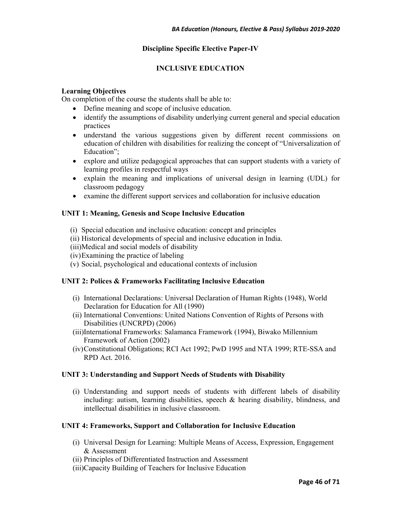## **Discipline Specific Elective Paper-IV**

## **INCLUSIVE EDUCATION**

#### **Learning Objectives**

On completion of the course the students shall be able to:

- Define meaning and scope of inclusive education.
- identify the assumptions of disability underlying current general and special education practices
- understand the various suggestions given by different recent commissions on education of children with disabilities for realizing the concept of "Universalization of Education";
- explore and utilize pedagogical approaches that can support students with a variety of learning profiles in respectful ways
- explain the meaning and implications of universal design in learning (UDL) for classroom pedagogy
- examine the different support services and collaboration for inclusive education

#### **UNIT 1: Meaning, Genesis and Scope Inclusive Education**

- (i) Special education and inclusive education: concept and principles
- (ii) Historical developments of special and inclusive education in India.
- (iii)Medical and social models of disability
- (iv)Examining the practice of labeling
- (v) Social, psychological and educational contexts of inclusion

#### **UNIT 2: Polices & Frameworks Facilitating Inclusive Education**

- (i) International Declarations: Universal Declaration of Human Rights (1948), World Declaration for Education for All (1990)
- (ii) International Conventions: United Nations Convention of Rights of Persons with Disabilities (UNCRPD) (2006)
- (iii)International Frameworks: Salamanca Framework (1994), Biwako Millennium Framework of Action (2002)
- (iv)Constitutional Obligations; RCI Act 1992; PwD 1995 and NTA 1999; RTE-SSA and RPD Act. 2016.

#### **UNIT 3: Understanding and Support Needs of Students with Disability**

(i) Understanding and support needs of students with different labels of disability including: autism, learning disabilities, speech & hearing disability, blindness, and intellectual disabilities in inclusive classroom.

#### **UNIT 4: Frameworks, Support and Collaboration for Inclusive Education**

- (i) Universal Design for Learning: Multiple Means of Access, Expression, Engagement & Assessment
- (ii) Principles of Differentiated Instruction and Assessment
- (iii)Capacity Building of Teachers for Inclusive Education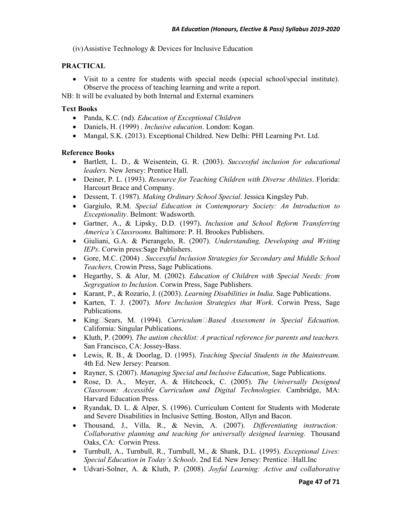(iv)Assistive Technology & Devices for Inclusive Education

## **PRACTICAL**

• Visit to a centre for students with special needs (special school/special institute). Observe the process of teaching learning and write a report.

NB: It will be evaluated by both Internal and External examiners

#### **Text Books**

- Panda, K.C. (nd). *Education of Exceptional Children*
- Daniels, H. (1999) . *Inclusive education*. London: Kogan.
- Mangal, S.K. (2013). Exceptional Childred. New Delhi: PHI Learning Pvt. Ltd.

- Bartlett, L. D., & Weisentein, G. R. (2003). *Successful inclusion for educational leaders*. New Jersey: Prentice Hall.
- Deiner, P. L. (1993). *Resource for Teaching Children with Diverse Abilities*. Florida: Harcourt Brace and Company.
- Dessent, T. (1987). *Making Ordinary School Special*. Jessica Kingsley Pub.
- Gargiulo, R.M. *Special Education in Contemporary Society: An Introduction to Exceptionality*. Belmont: Wadsworth.
- Gartner, A., & Lipsky, D.D. (1997). *Inclusion and School Reform Transferring America's Classrooms.* Baltimore: P. H. Brookes Publishers.
- Giuliani, G.A. & Pierangelo, R. (2007). *Understanding, Developing and Writing IEPs*. Corwin press:Sage Publishers.
- Gore, M.C. (2004) . *Successful Inclusion Strategies for Secondary and Middle School Teachers,* Crowin Press, Sage Publications.
- Hegarthy, S. & Alur, M. (2002). *Education of Children with Special Needs: from Segregation to Inclusion*. Corwin Press, Sage Publishers.
- Karant, P., & Rozario, J. ((2003). *Learning Disabilities in India*. Sage Publications.
- Karten, T. J. (2007). *More Inclusion Strategies that Work*. Corwin Press, Sage Publications.
- King‐Sears, M. (1994). *Curriculum‐Based Assessment in Special Edcuation*. California: Singular Publications.
- Kluth, P. (2009). *The autism checklist: A practical reference for parents and teachers.* San Francisco, CA: Jossey-Bass.
- Lewis, R. B., & Doorlag, D. (1995). *Teaching Special Students in the Mainstream*. 4th Ed. New Jersey: Pearson.
- Rayner, S. (2007). *Managing Special and Inclusive Education*, Sage Publications.
- Rose, D. A., Meyer, A. & Hitchcock, C. (2005). *The Universally Designed Classroom: Accessible Curriculum and Digital Technologies.* Cambridge, MA: Harvard Education Press.
- Ryandak, D. L. & Alper, S. (1996). Curriculum Content for Students with Moderate and Severe Disabilities in Inclusive Setting. Boston, Allyn and Bacon.
- Thousand, J., Villa, R., & Nevin, A. (2007). *Differentiating instruction: Collaborative planning and teaching for universally designed learning*. Thousand Oaks, CA: Corwin Press.
- Turnbull, A., Turnbull, R., Turnbull, M., & Shank, D.L. (1995). *Exceptional Lives: Special Education in Today's Schools*. 2nd Ed. New Jersey: Prentice□Hall.Inc
- Udvari-Solner, A. & Kluth, P. (2008). *Joyful Learning: Active and collaborative*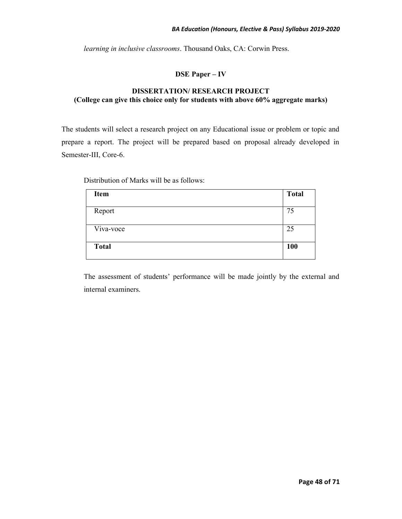*learning in inclusive classrooms*. Thousand Oaks, CA: Corwin Press.

## **DSE Paper – IV**

## **DISSERTATION/ RESEARCH PROJECT (College can give this choice only for students with above 60% aggregate marks)**

The students will select a research project on any Educational issue or problem or topic and prepare a report. The project will be prepared based on proposal already developed in Semester-III, Core-6.

Distribution of Marks will be as follows:

| Item         | <b>Total</b> |
|--------------|--------------|
|              |              |
| Report       | 75           |
|              |              |
| Viva-voce    | 25           |
|              |              |
| <b>Total</b> | 100          |
|              |              |

The assessment of students' performance will be made jointly by the external and internal examiners.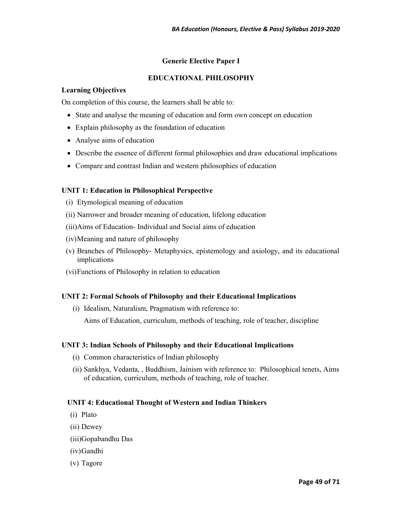## **Generic Elective Paper I**

## **EDUCATIONAL PHILOSOPHY**

## **Learning Objectives**

On completion of this course, the learners shall be able to:

- State and analyse the meaning of education and form own concept on education
- Explain philosophy as the foundation of education
- Analyse aims of education
- Describe the essence of different formal philosophies and draw educational implications
- Compare and contrast Indian and western philosophies of education

## **UNIT 1: Education in Philosophical Perspective**

- (i) Etymological meaning of education
- (ii) Narrower and broader meaning of education, lifelong education
- (iii)Aims of Education- Individual and Social aims of education
- (iv)Meaning and nature of philosophy
- (v) Branches of Philosophy- Metaphysics, epistemology and axiology, and its educational implications
- (vi)Functions of Philosophy in relation to education

## **UNIT 2: Formal Schools of Philosophy and their Educational Implications**

(i) Idealism, Naturalism, Pragmatism with reference to:

Aims of Education, curriculum, methods of teaching, role of teacher, discipline

## **UNIT 3: Indian Schools of Philosophy and their Educational Implications**

- (i) Common characteristics of Indian philosophy
- (ii) Sankhya, Vedanta, , Buddhism, Jainism with reference to: Philosophical tenets, Aims of education, curriculum, methods of teaching, role of teacher.

## **UNIT 4: Educational Thought of Western and Indian Thinkers**

- (i) Plato
- (ii) Dewey
- (iii)Gopabandhu Das
- (iv)Gandhi
- (v) Tagore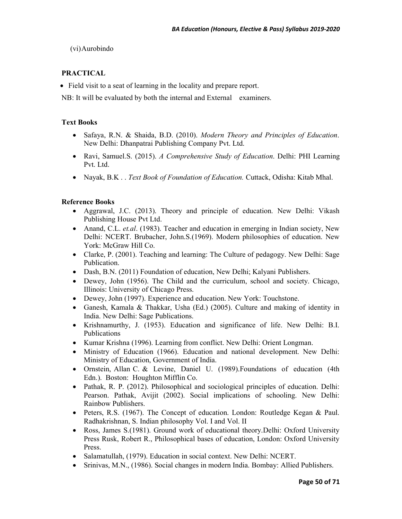(vi)Aurobindo

## **PRACTICAL**

• Field visit to a seat of learning in the locality and prepare report.

NB: It will be evaluated by both the internal and External examiners.

## **Text Books**

- Safaya, R.N. & Shaida, B.D. (2010). *Modern Theory and Principles of Education*. New Delhi: Dhanpatrai Publishing Company Pvt. Ltd.
- Ravi, Samuel.S. (2015). *A Comprehensive Study of Education*. Delhi: PHI Learning Pvt. Ltd.
- Nayak, B.K . . *Text Book of Foundation of Education.* Cuttack, Odisha: Kitab Mhal.

- Aggrawal, J.C. (2013). Theory and principle of education. New Delhi: Vikash Publishing House Pvt Ltd.
- Anand, C.L. *et.al.* (1983). Teacher and education in emerging in Indian society, New Delhi: NCERT. Brubacher, John.S.(1969). Modern philosophies of education. New York: McGraw Hill Co.
- Clarke, P. (2001). Teaching and learning: The Culture of pedagogy. New Delhi: Sage Publication.
- Dash, B.N. (2011) Foundation of education, New Delhi; Kalyani Publishers.
- Dewey, John (1956). The Child and the curriculum, school and society. Chicago, Illinois: University of Chicago Press.
- Dewey, John (1997). Experience and education. New York: Touchstone.
- Ganesh, Kamala & Thakkar, Usha (Ed.) (2005). Culture and making of identity in India. New Delhi: Sage Publications.
- Krishnamurthy, J. (1953). Education and significance of life. New Delhi: B.I. Publications
- Kumar Krishna (1996). Learning from conflict. New Delhi: Orient Longman.
- Ministry of Education (1966). Education and national development. New Delhi: Ministry of Education, Government of India.
- Ornstein, Allan C. & Levine, Daniel U. (1989). Foundations of education (4th Edn.). Boston: Houghton Mifflin Co.
- Pathak, R. P. (2012). Philosophical and sociological principles of education. Delhi: Pearson. Pathak, Avijit (2002). Social implications of schooling. New Delhi: Rainbow Publishers.
- Peters, R.S. (1967). The Concept of education. London: Routledge Kegan & Paul. Radhakrishnan, S. Indian philosophy Vol. I and Vol. II
- Ross, James S.(1981). Ground work of educational theory.Delhi: Oxford University Press Rusk, Robert R., Philosophical bases of education, London: Oxford University Press.
- Salamatullah, (1979). Education in social context. New Delhi: NCERT.
- Srinivas, M.N., (1986). Social changes in modern India. Bombay: Allied Publishers.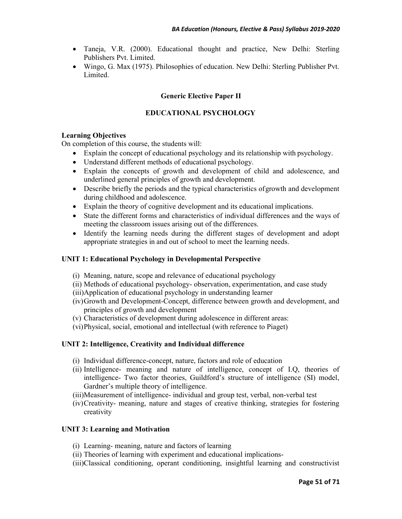- Taneja, V.R. (2000). Educational thought and practice, New Delhi: Sterling Publishers Pvt. Limited.
- Wingo, G. Max (1975). Philosophies of education. New Delhi: Sterling Publisher Pvt. Limited.

## **Generic Elective Paper II**

## **EDUCATIONAL PSYCHOLOGY**

## **Learning Objectives**

On completion of this course, the students will:

- Explain the concept of educational psychology and its relationship with psychology.
- Understand different methods of educational psychology.
- Explain the concepts of growth and development of child and adolescence, and underlined general principles of growth and development.
- Describe briefly the periods and the typical characteristics of growth and development during childhood and adolescence.
- Explain the theory of cognitive development and its educational implications.
- State the different forms and characteristics of individual differences and the ways of meeting the classroom issues arising out of the differences.
- Identify the learning needs during the different stages of development and adopt appropriate strategies in and out of school to meet the learning needs.

## **UNIT 1: Educational Psychology in Developmental Perspective**

- (i) Meaning, nature, scope and relevance of educational psychology
- (ii) Methods of educational psychology- observation, experimentation, and case study
- (iii)Application of educational psychology in understanding learner
- (iv)Growth and Development-Concept, difference between growth and development, and principles of growth and development
- (v) Characteristics of development during adolescence in different areas:
- (vi)Physical, social, emotional and intellectual (with reference to Piaget)

## **UNIT 2: Intelligence, Creativity and Individual difference**

- (i) Individual difference-concept, nature, factors and role of education
- (ii) Intelligence- meaning and nature of intelligence, concept of I.Q, theories of intelligence- Two factor theories, Guildford's structure of intelligence (SI) model, Gardner's multiple theory of intelligence.
- (iii)Measurement of intelligence- individual and group test, verbal, non-verbal test
- (iv)Creativity- meaning, nature and stages of creative thinking, strategies for fostering creativity

#### **UNIT 3: Learning and Motivation**

- (i) Learning- meaning, nature and factors of learning
- (ii) Theories of learning with experiment and educational implications-
- (iii)Classical conditioning, operant conditioning, insightful learning and constructivist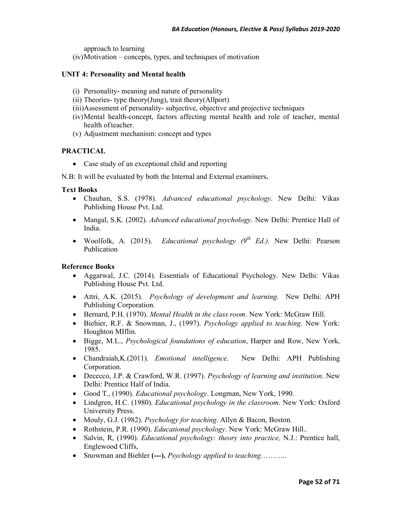approach to learning

(iv)Motivation – concepts, types, and techniques of motivation

## **UNIT 4: Personality and Mental health**

- (i) Personality- meaning and nature of personality
- (ii) Theories- type theory(Jung), trait theory(Allport)
- (iii)Assessment of personality- subjective, objective and projective techniques
- (iv)Mental health-concept, factors affecting mental health and role of teacher, mental health of teacher.
- (v) Adjustment mechanism: concept and types

## **PRACTICAL**

• Case study of an exceptional child and reporting

N.B: It will be evaluated by both the Internal and External examiners**.** 

#### **Text Books**

- Chauhan, S.S. (1978). *Advanced educational psychology*. New Delhi: Vikas Publishing House Pvt. Ltd.
- Mangal, S.K. (2002). *Advanced educational psychology*. New Delhi: Prentice Hall of India.
- Woolfolk, A. (2015). *Educational psychology (9th Ed.).* New Delhi: Pearson Publication

- Aggarwal, J.C. (2014). Essentials of Educational Psychology. New Delhi: Vikas Publishing House Pvt. Ltd.
- Attri, A.K. (2015). *Psychology of development and learning*. New Delhi: APH Publishing Corporation.
- Bernard, P.H. (1970). *Mental Health in the class room*. New York: McGraw Hill.
- Biehier, R.F. & Snowman, J., (1997). *Psychology applied to teaching*. New York: Houghton MIflin.
- Bigge, M.L., *Psychological foundations of education*, Harper and Row, New York, 1985.
- Chandraiah,K.(2011). *Emotional intelligence*. New Delhi: APH Publishing Corporation.
- Dececco, J.P. & Crawford, W.R. (1997). *Psychology of learning and institution*. New Delhi: Prentice Half of India.
- Good T., (1990). *Educational psychology*. Longman, New York, 1990.
- Lindgren, H.C. (1980). *Educational psychology in the classroom*. New York: Oxford University Press.
- Mouly, G.J. (1982). *Psychology for teaching*. Allyn & Bacon, Boston.
- Rothstein, P.R. (1990). *Educational psychology*. New York: McGraw Hill..
- Salvin, R, (1990). *Educational psychology: theory into practice,* N.J.: Prentice hall, Englewood Cliffs,
- Snowman and Biehler (---). *Psychology applied to teaching……….*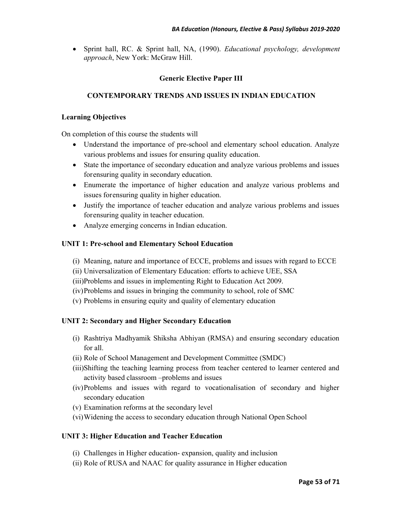• Sprint hall, RC. & Sprint hall, NA, (1990). *Educational psychology, development approach*, New York: McGraw Hill.

## **Generic Elective Paper III**

## **CONTEMPORARY TRENDS AND ISSUES IN INDIAN EDUCATION**

## **Learning Objectives**

On completion of this course the students will

- Understand the importance of pre-school and elementary school education. Analyze various problems and issues for ensuring quality education.
- State the importance of secondary education and analyze various problems and issues for ensuring quality in secondary education.
- Enumerate the importance of higher education and analyze various problems and issues for ensuring quality in higher education.
- Justify the importance of teacher education and analyze various problems and issues for ensuring quality in teacher education.
- Analyze emerging concerns in Indian education.

## **UNIT 1: Pre-school and Elementary School Education**

- (i) Meaning, nature and importance of ECCE, problems and issues with regard to ECCE
- (ii) Universalization of Elementary Education: efforts to achieve UEE, SSA
- (iii)Problems and issues in implementing Right to Education Act 2009.
- (iv)Problems and issues in bringing the community to school, role of SMC
- (v) Problems in ensuring equity and quality of elementary education

## **UNIT 2: Secondary and Higher Secondary Education**

- (i) Rashtriya Madhyamik Shiksha Abhiyan (RMSA) and ensuring secondary education for all.
- (ii) Role of School Management and Development Committee (SMDC)
- (iii)Shifting the teaching learning process from teacher centered to learner centered and activity based classroom –problems and issues
- (iv)Problems and issues with regard to vocationalisation of secondary and higher secondary education
- (v) Examination reforms at the secondary level
- (vi)Widening the access to secondary education through National Open School

## **UNIT 3: Higher Education and Teacher Education**

- (i) Challenges in Higher education- expansion, quality and inclusion
- (ii) Role of RUSA and NAAC for quality assurance in Higher education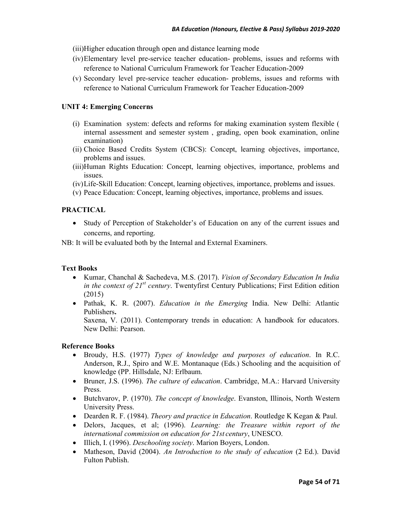- (iii)Higher education through open and distance learning mode
- (iv)Elementary level pre-service teacher education- problems, issues and reforms with reference to National Curriculum Framework for Teacher Education-2009
- (v) Secondary level pre-service teacher education- problems, issues and reforms with reference to National Curriculum Framework for Teacher Education-2009

## **UNIT 4: Emerging Concerns**

- (i) Examination system: defects and reforms for making examination system flexible ( internal assessment and semester system , grading, open book examination, online examination)
- (ii) Choice Based Credits System (CBCS): Concept, learning objectives, importance, problems and issues.
- (iii)Human Rights Education: Concept, learning objectives, importance, problems and issues.
- (iv)Life-Skill Education: Concept, learning objectives, importance, problems and issues.
- (v) Peace Education: Concept, learning objectives, importance, problems and issues.

## **PRACTICAL**

• Study of Perception of Stakeholder's of Education on any of the current issues and concerns, and reporting.

NB: It will be evaluated both by the Internal and External Examiners.

#### **Text Books**

- Kumar, Chanchal & Sachedeva, M.S. (2017). *Vision of Secondary Education In India in the context of 21st century*. Twentyfirst Century Publications; First Edition edition (2015)
- Pathak, K. R. (2007). *Education in the Emerging* India. New Delhi: Atlantic Publishers**.**

Saxena, V. (2011). Contemporary trends in education: A handbook for educators. New Delhi: Pearson.

- Broudy, H.S. (1977) *Types of knowledge and purposes of education*. In R.C. Anderson, R.J., Spiro and W.E. Montanaque (Eds.) Schooling and the acquisition of knowledge (PP. Hillsdale, NJ: Erlbaum.
- Bruner, J.S. (1996). *The culture of education*. Cambridge, M.A.: Harvard University Press.
- Butchvarov, P. (1970). *The concept of knowledge*. Evanston, Illinois, North Western University Press.
- Dearden R. F. (1984). *Theory and practice in Education*. Routledge K Kegan & Paul.
- Delors, Jacques, et al; (1996). *Learning: the Treasure within report of the international commission on education for 21st century*, UNESCO.
- Illich, I. (1996). *Deschooling society*. Marion Boyers, London.
- Matheson, David (2004). *An Introduction to the study of education* (2 Ed.). David Fulton Publish.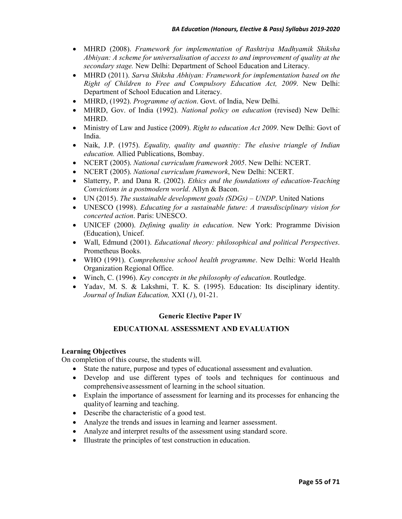- MHRD (2008). *Framework for implementation of Rashtriya Madhyamik Shiksha Abhiyan: A scheme for universalisation of access to and improvement of quality at the secondary stage.* New Delhi: Department of School Education and Literacy.
- MHRD (2011). *Sarva Shiksha Abhiyan: Framework for implementation based on the Right of Children to Free and Compulsory Education Act, 2009*. New Delhi: Department of School Education and Literacy.
- MHRD, (1992). *Programme of action*. Govt. of India, New Delhi.
- MHRD, Gov. of India (1992). *National policy on education* (revised) New Delhi: MHRD.
- Ministry of Law and Justice (2009). *Right to education Act 2009*. New Delhi: Govt of India.
- Naik, J.P. (1975). *Equality, quality and quantity: The elusive triangle of Indian education.* Allied Publications, Bombay.
- NCERT (2005). *National curriculum framework 2005*. New Delhi: NCERT.
- NCERT (2005). *National curriculum framework*, New Delhi: NCERT.
- Slatterry, P. and Dana R. (2002). *Ethics and the foundations of education-Teaching Convictions in a postmodern world*. Allyn & Bacon.
- UN (2015). *The sustainable development goals (SDGs) UNDP*. United Nations
- UNESCO (1998). *Educating for a sustainable future: A transdisciplinary vision for concerted action*. Paris: UNESCO.
- UNICEF (2000). *Defining quality in education*. New York: Programme Division (Education), Unicef.
- Wall, Edmund (2001). *Educational theory: philosophical and political Perspectives*. Prometheus Books.
- WHO (1991). *Comprehensive school health programme*. New Delhi: World Health Organization Regional Office.
- Winch, C. (1996). *Key concepts in the philosophy of education*. Routledge.
- Yadav, M. S. & Lakshmi, T. K. S. (1995). Education: Its disciplinary identity. *Journal of Indian Education,* XXI (*1*), 01-21.

## **Generic Elective Paper IV**

#### **EDUCATIONAL ASSESSMENT AND EVALUATION**

#### **Learning Objectives**

On completion of this course, the students will.

- State the nature, purpose and types of educational assessment and evaluation.
- Develop and use different types of tools and techniques for continuous and comprehensive assessment of learning in the school situation.
- Explain the importance of assessment for learning and its processes for enhancing the quality of learning and teaching.
- Describe the characteristic of a good test.
- Analyze the trends and issues in learning and learner assessment.
- Analyze and interpret results of the assessment using standard score.
- Illustrate the principles of test construction in education.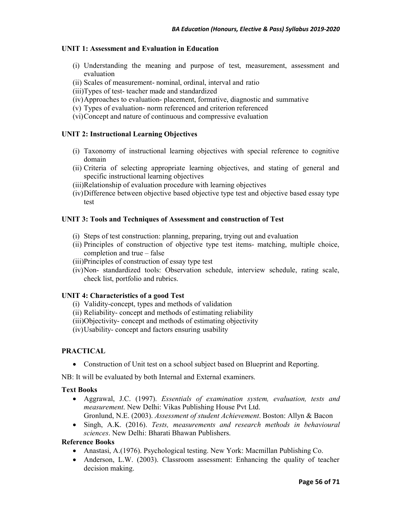## **UNIT 1: Assessment and Evaluation in Education**

- (i) Understanding the meaning and purpose of test, measurement, assessment and evaluation
- (ii) Scales of measurement- nominal, ordinal, interval and ratio
- (iii)Types of test- teacher made and standardized
- (iv)Approaches to evaluation- placement, formative, diagnostic and summative
- (v) Types of evaluation- norm referenced and criterion referenced
- (vi)Concept and nature of continuous and compressive evaluation

## **UNIT 2: Instructional Learning Objectives**

- (i) Taxonomy of instructional learning objectives with special reference to cognitive domain
- (ii) Criteria of selecting appropriate learning objectives, and stating of general and specific instructional learning objectives
- (iii)Relationship of evaluation procedure with learning objectives
- (iv)Difference between objective based objective type test and objective based essay type test

#### **UNIT 3: Tools and Techniques of Assessment and construction of Test**

- (i) Steps of test construction: planning, preparing, trying out and evaluation
- (ii) Principles of construction of objective type test items- matching, multiple choice, completion and true – false
- (iii)Principles of construction of essay type test
- (iv)Non- standardized tools: Observation schedule, interview schedule, rating scale, check list, portfolio and rubrics.

#### **UNIT 4: Characteristics of a good Test**

- (i) Validity-concept, types and methods of validation
- (ii) Reliability- concept and methods of estimating reliability
- (iii)Objectivity- concept and methods of estimating objectivity
- (iv)Usability- concept and factors ensuring usability

## **PRACTICAL**

• Construction of Unit test on a school subject based on Blueprint and Reporting.

NB: It will be evaluated by both Internal and External examiners.

### **Text Books**

- Aggrawal, J.C. (1997). *Essentials of examination system, evaluation, tests and measurement*. New Delhi: Vikas Publishing House Pvt Ltd. Gronlund, N.E. (2003). *Assessment of student Achievement*. Boston: Allyn & Bacon
- Singh, A.K. (2016). *Tests, measurements and research methods in behavioural sciences*. New Delhi: Bharati Bhawan Publishers.

- Anastasi, A.(1976). Psychological testing. New York: Macmillan Publishing Co.
- Anderson, L.W. (2003). Classroom assessment: Enhancing the quality of teacher decision making.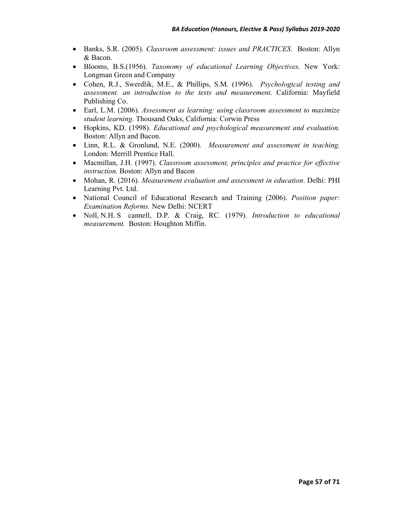- Banks, S.R. (2005). *Classroom assessment: issues and PRACTICES*. Boston: Allyn & Bacon.
- Blooms, B.S.(1956). *Taxonomy of educational Learning Objectives*. New York: Longman Green and Company
- Cohen, R.J., Swerdlik, M.E., & Phillips, S.M. (1996). *Psychological testing and assessment. an introduction to the tests and measurement*. California: Mayfield Publishing Co.
- Earl, L.M. (2006). *Assessment as learning: using classroom assessment to maximize student learning*. Thousand Oaks, California: Corwin Press
- Hopkins, KD. (1998). *Educational and psychological measurement and evaluation.* Boston: Allyn and Bacon.
- Linn, R.L. & Gronlund, N.E. (2000). *Measurement and assessment in teaching.*  London: Merrill Prentice Hall.
- Macmillan, J.H. (1997). *Classroom assessment, principles and practice for effective instruction.* Boston: Allyn and Bacon
- Mohan, R. (2016). *Measurement evaluation and assessment in education*. Delhi: PHI Learning Pvt. Ltd.
- National Council of Educational Research and Training (2006). *Position paper: Examination Reforms.* New Delhi: NCERT
- Noll, N.H. S cannell, D.P. & Craig, RC. (1979). *Introduction to educational measurement.* Boston: Houghton Miffin.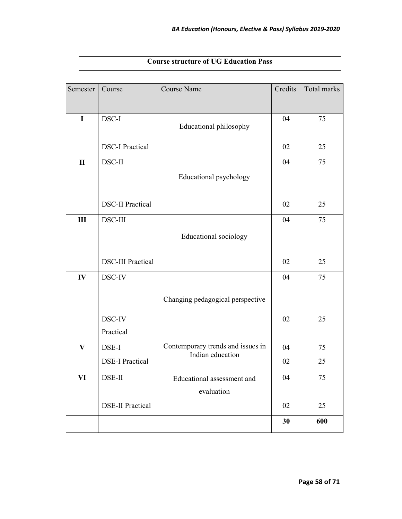| Semester      | Course                   | <b>Course Name</b>                                    | Credits | Total marks |
|---------------|--------------------------|-------------------------------------------------------|---------|-------------|
|               |                          |                                                       |         |             |
| $\mathbf I$   | DSC-I                    | Educational philosophy                                | 04      | 75          |
|               |                          |                                                       |         |             |
|               | <b>DSC-I Practical</b>   |                                                       | 02      | 25          |
| $\mathbf{I}$  | DSC-II                   |                                                       | 04      | 75          |
|               |                          | Educational psychology                                |         |             |
|               |                          |                                                       |         |             |
|               | <b>DSC-II Practical</b>  |                                                       | 02      | 25          |
| III           | DSC-III                  |                                                       | 04      | 75          |
|               |                          | <b>Educational</b> sociology                          |         |             |
|               |                          |                                                       |         |             |
|               | <b>DSC-III Practical</b> |                                                       | 02      | 25          |
| $\mathbf{IV}$ | DSC-IV                   |                                                       | 04      | 75          |
|               |                          | Changing pedagogical perspective                      |         |             |
|               |                          |                                                       |         |             |
|               | DSC-IV                   |                                                       | 02      | 25          |
|               | Practical                |                                                       |         |             |
| $\mathbf{V}$  | DSE-I                    | Contemporary trends and issues in<br>Indian education | 04      | 75          |
|               | <b>DSE-I Practical</b>   |                                                       | 02      | 25          |
| VI            | DSE-II                   | Educational assessment and                            | 04      | 75          |
|               |                          | evaluation                                            |         |             |
|               | <b>DSE-II Practical</b>  |                                                       | 02      | 25          |
|               |                          |                                                       | 30      | 600         |

## **Course structure of UG Education Pass**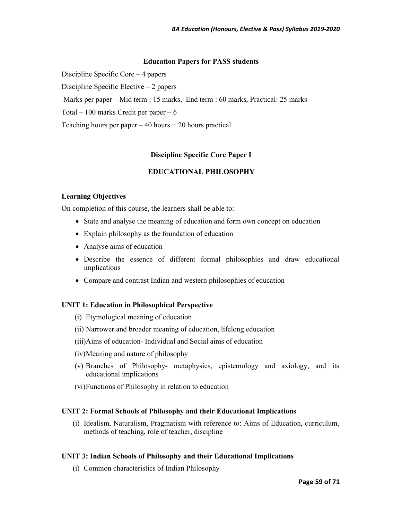#### **Education Papers for PASS students**

Discipline Specific Core – 4 papers

Discipline Specific Elective – 2 papers

Marks per paper – Mid term : 15 marks, End term : 60 marks, Practical: 25 marks

Total – 100 marks Credit per paper – 6

Teaching hours per paper  $-40$  hours  $+ 20$  hours practical

## **Discipline Specific Core Paper I**

## **EDUCATIONAL PHILOSOPHY**

#### **Learning Objectives**

On completion of this course, the learners shall be able to:

- State and analyse the meaning of education and form own concept on education
- Explain philosophy as the foundation of education
- Analyse aims of education
- Describe the essence of different formal philosophies and draw educational implications
- Compare and contrast Indian and western philosophies of education

#### **UNIT 1: Education in Philosophical Perspective**

- (i) Etymological meaning of education
- (ii) Narrower and broader meaning of education, lifelong education
- (iii)Aims of education- Individual and Social aims of education
- (iv)Meaning and nature of philosophy
- (v) Branches of Philosophy- metaphysics, epistemology and axiology, and its educational implications
- (vi)Functions of Philosophy in relation to education

#### **UNIT 2: Formal Schools of Philosophy and their Educational Implications**

(i) Idealism, Naturalism, Pragmatism with reference to: Aims of Education, curriculum, methods of teaching, role of teacher, discipline

#### **UNIT 3: Indian Schools of Philosophy and their Educational Implications**

(i) Common characteristics of Indian Philosophy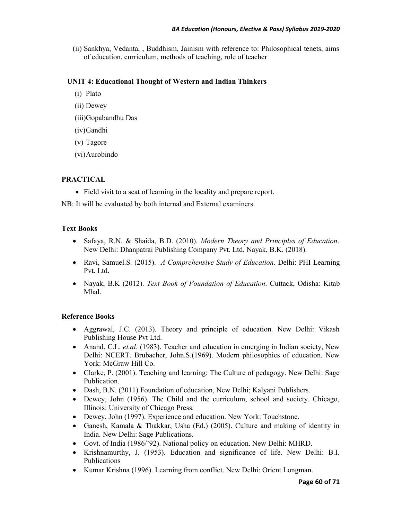(ii) Sankhya, Vedanta, , Buddhism, Jainism with reference to: Philosophical tenets, aims of education, curriculum, methods of teaching, role of teacher

## **UNIT 4: Educational Thought of Western and Indian Thinkers**

- (i) Plato
- (ii) Dewey
- (iii)Gopabandhu Das
- (iv)Gandhi
- (v) Tagore
- (vi)Aurobindo

## **PRACTICAL**

• Field visit to a seat of learning in the locality and prepare report.

NB: It will be evaluated by both internal and External examiners.

## **Text Books**

- Safaya, R.N. & Shaida, B.D. (2010). *Modern Theory and Principles of Education*. New Delhi: Dhanpatrai Publishing Company Pvt. Ltd. Nayak, B.K. (2018).
- Ravi, Samuel.S. (2015). *A Comprehensive Study of Education*. Delhi: PHI Learning Pvt. Ltd.
- Nayak, B.K (2012). *Text Book of Foundation of Education*. Cuttack, Odisha: Kitab Mhal.

- Aggrawal, J.C. (2013). Theory and principle of education. New Delhi: Vikash Publishing House Pvt Ltd.
- Anand, C.L. *et.al.* (1983). Teacher and education in emerging in Indian society, New Delhi: NCERT. Brubacher, John.S.(1969). Modern philosophies of education. New York: McGraw Hill Co.
- Clarke, P. (2001). Teaching and learning: The Culture of pedagogy. New Delhi: Sage Publication.
- Dash, B.N. (2011) Foundation of education, New Delhi; Kalyani Publishers.
- Dewey, John (1956). The Child and the curriculum, school and society. Chicago, Illinois: University of Chicago Press.
- Dewey, John (1997). Experience and education. New York: Touchstone.
- Ganesh, Kamala & Thakkar, Usha (Ed.) (2005). Culture and making of identity in India. New Delhi: Sage Publications.
- Govt. of India (1986/'92). National policy on education. New Delhi: MHRD.
- Krishnamurthy, J. (1953). Education and significance of life. New Delhi: B.I. Publications
- Kumar Krishna (1996). Learning from conflict. New Delhi: Orient Longman.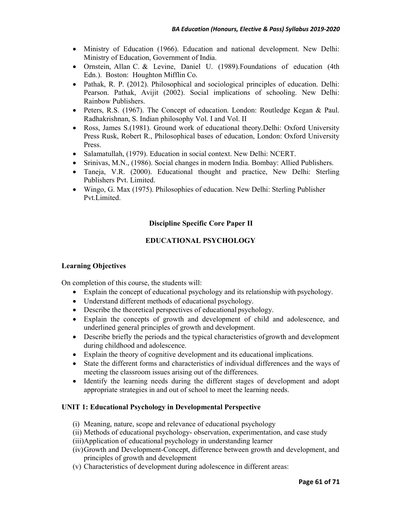- Ministry of Education (1966). Education and national development. New Delhi: Ministry of Education, Government of India.
- Ornstein, Allan C. & Levine, Daniel U. (1989).Foundations of education (4th Edn.). Boston: Houghton Mifflin Co.
- Pathak, R. P. (2012). Philosophical and sociological principles of education. Delhi: Pearson. Pathak, Avijit (2002). Social implications of schooling. New Delhi: Rainbow Publishers.
- Peters, R.S. (1967). The Concept of education. London: Routledge Kegan & Paul. Radhakrishnan, S. Indian philosophy Vol. I and Vol. II
- Ross, James S.(1981). Ground work of educational theory.Delhi: Oxford University Press Rusk, Robert R., Philosophical bases of education, London: Oxford University Press.
- Salamatullah, (1979). Education in social context. New Delhi: NCERT.
- Srinivas, M.N., (1986). Social changes in modern India. Bombay: Allied Publishers.
- Taneja, V.R. (2000). Educational thought and practice, New Delhi: Sterling Publishers Pvt. Limited.
- Wingo, G. Max (1975). Philosophies of education. New Delhi: Sterling Publisher Pvt.Limited.

## **Discipline Specific Core Paper II**

## **EDUCATIONAL PSYCHOLOGY**

#### **Learning Objectives**

On completion of this course, the students will:

- Explain the concept of educational psychology and its relationship with psychology.
- Understand different methods of educational psychology.
- Describe the theoretical perspectives of educational psychology.
- Explain the concepts of growth and development of child and adolescence, and underlined general principles of growth and development.
- Describe briefly the periods and the typical characteristics of growth and development during childhood and adolescence.
- Explain the theory of cognitive development and its educational implications.
- State the different forms and characteristics of individual differences and the ways of meeting the classroom issues arising out of the differences.
- Identify the learning needs during the different stages of development and adopt appropriate strategies in and out of school to meet the learning needs.

#### **UNIT 1: Educational Psychology in Developmental Perspective**

- (i) Meaning, nature, scope and relevance of educational psychology
- (ii) Methods of educational psychology- observation, experimentation, and case study
- (iii)Application of educational psychology in understanding learner
- (iv)Growth and Development-Concept, difference between growth and development, and principles of growth and development
- (v) Characteristics of development during adolescence in different areas: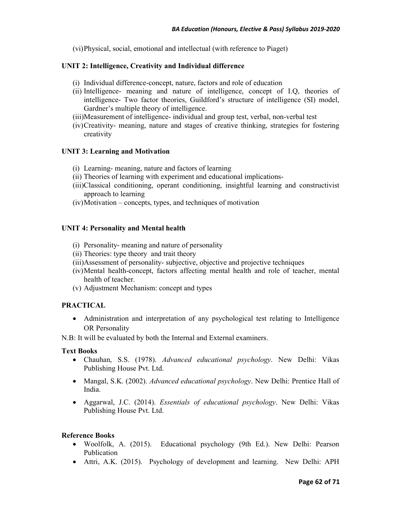(vi)Physical, social, emotional and intellectual (with reference to Piaget)

## **UNIT 2: Intelligence, Creativity and Individual difference**

- (i) Individual difference-concept, nature, factors and role of education
- (ii) Intelligence- meaning and nature of intelligence, concept of I.Q, theories of intelligence- Two factor theories, Guildford's structure of intelligence (SI) model, Gardner's multiple theory of intelligence.
- (iii)Measurement of intelligence- individual and group test, verbal, non-verbal test
- (iv)Creativity- meaning, nature and stages of creative thinking, strategies for fostering creativity

## **UNIT 3: Learning and Motivation**

- (i) Learning- meaning, nature and factors of learning
- (ii) Theories of learning with experiment and educational implications-
- (iii)Classical conditioning, operant conditioning, insightful learning and constructivist approach to learning
- (iv)Motivation concepts, types, and techniques of motivation

## **UNIT 4: Personality and Mental health**

- (i) Personality- meaning and nature of personality
- (ii) Theories: type theory and trait theory
- (iii)Assessment of personality- subjective, objective and projective techniques
- (iv)Mental health-concept, factors affecting mental health and role of teacher, mental health of teacher.
- (v) Adjustment Mechanism: concept and types

## **PRACTICAL**

• Administration and interpretation of any psychological test relating to Intelligence OR Personality

N.B: It will be evaluated by both the Internal and External examiners.

#### **Text Books**

- Chauhan, S.S. (1978). *Advanced educational psychology*. New Delhi: Vikas Publishing House Pvt. Ltd.
- Mangal, S.K. (2002). *Advanced educational psychology*. New Delhi: Prentice Hall of India.
- Aggarwal, J.C. (2014). *Essentials of educational psychology*. New Delhi: Vikas Publishing House Pvt. Ltd.

- Woolfolk, A. (2015). Educational psychology (9th Ed.). New Delhi: Pearson Publication
- Attri, A.K. (2015). Psychology of development and learning. New Delhi: APH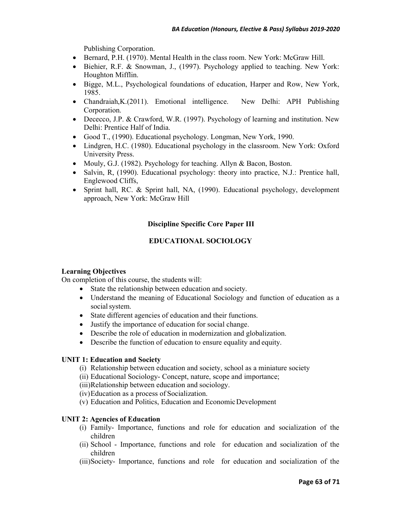Publishing Corporation.

- Bernard, P.H. (1970). Mental Health in the class room. New York: McGraw Hill.
- Biehier, R.F. & Snowman, J., (1997). Psychology applied to teaching. New York: Houghton Mifflin.
- Bigge, M.L., Psychological foundations of education, Harper and Row, New York, 1985.
- Chandraiah, K. (2011). Emotional intelligence. New Delhi: APH Publishing Corporation.
- Dececco, J.P. & Crawford, W.R. (1997). Psychology of learning and institution. New Delhi: Prentice Half of India.
- Good T., (1990). Educational psychology. Longman, New York, 1990.
- Lindgren, H.C. (1980). Educational psychology in the classroom. New York: Oxford University Press.
- Mouly, G.J. (1982). Psychology for teaching. Allyn & Bacon, Boston.
- Salvin, R, (1990). Educational psychology: theory into practice, N.J.: Prentice hall, Englewood Cliffs,
- Sprint hall, RC. & Sprint hall, NA, (1990). Educational psychology, development approach, New York: McGraw Hill

## **Discipline Specific Core Paper III**

## **EDUCATIONAL SOCIOLOGY**

#### **Learning Objectives**

On completion of this course, the students will:

- State the relationship between education and society.
- Understand the meaning of Educational Sociology and function of education as a social system.
- State different agencies of education and their functions.
- Justify the importance of education for social change.
- Describe the role of education in modernization and globalization.
- Describe the function of education to ensure equality and equity.

#### **UNIT 1: Education and Society**

- (i) Relationship between education and society, school as a miniature society
- (ii) Educational Sociology- Concept, nature, scope and importance;

(iii)Relationship between education and sociology.

(iv)Education as a process of Socialization.

(v) Education and Politics, Education and Economic Development

## **UNIT 2: Agencies of Education**

- (i) Family- Importance, functions and role for education and socialization of the children
- (ii) School Importance, functions and role for education and socialization of the children
- (iii)Society- Importance, functions and role for education and socialization of the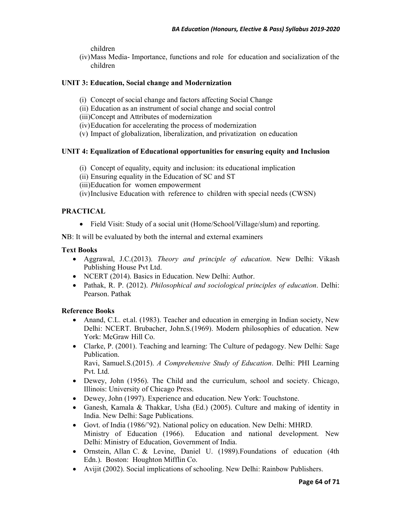children

(iv)Mass Media- Importance, functions and role for education and socialization of the children

## **UNIT 3: Education, Social change and Modernization**

- (i) Concept of social change and factors affecting Social Change
- (ii) Education as an instrument of social change and social control
- (iii)Concept and Attributes of modernization
- (iv)Education for accelerating the process of modernization
- (v) Impact of globalization, liberalization, and privatization on education

## **UNIT 4: Equalization of Educational opportunities for ensuring equity and Inclusion**

- (i) Concept of equality, equity and inclusion: its educational implication
- (ii) Ensuring equality in the Education of SC and ST
- (iii)Education for women empowerment
- (iv)Inclusive Education with reference to children with special needs (CWSN)

## **PRACTICAL**

• Field Visit: Study of a social unit (Home/School/Village/slum) and reporting.

**N**B: It will be evaluated by both the internal and external examiners

#### **Text Books**

- Aggrawal, J.C.(2013). *Theory and principle of education*. New Delhi: Vikash Publishing House Pvt Ltd.
- NCERT (2014). Basics in Education. New Delhi: Author.
- Pathak, R. P. (2012). *Philosophical and sociological principles of education*. Delhi: Pearson. Pathak

## **Reference Books**

- Anand, C.L. et.al. (1983). Teacher and education in emerging in Indian society, New Delhi: NCERT. Brubacher, John.S.(1969). Modern philosophies of education. New York: McGraw Hill Co.
- Clarke, P. (2001). Teaching and learning: The Culture of pedagogy. New Delhi: Sage Publication.

Ravi, Samuel.S.(2015). *A Comprehensive Study of Education*. Delhi: PHI Learning Pvt. Ltd.

- Dewey, John (1956). The Child and the curriculum, school and society. Chicago, Illinois: University of Chicago Press.
- Dewey, John (1997). Experience and education. New York: Touchstone.
- Ganesh, Kamala & Thakkar, Usha (Ed.) (2005). Culture and making of identity in India. New Delhi: Sage Publications.
- Govt. of India (1986/'92). National policy on education. New Delhi: MHRD. Ministry of Education (1966). Education and national development. New Delhi: Ministry of Education, Government of India.
- Ornstein, Allan C. & Levine, Daniel U. (1989).Foundations of education (4th Edn.). Boston: Houghton Mifflin Co.
- Avijit (2002). Social implications of schooling. New Delhi: Rainbow Publishers.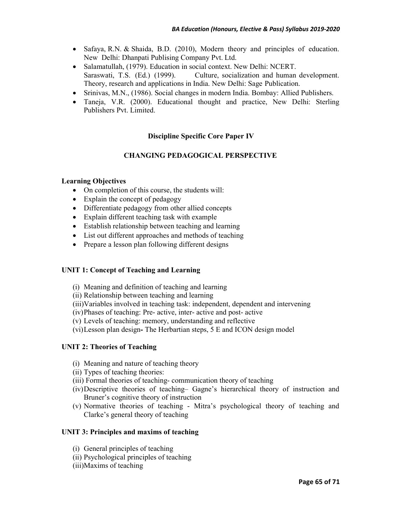- Safaya, R.N. & Shaida, B.D. (2010), Modern theory and principles of education. New Delhi: Dhanpati Publising Company Pvt. Ltd.
- Salamatullah, (1979). Education in social context. New Delhi: NCERT. Saraswati, T.S. (Ed.) (1999). Culture, socialization and human development. Theory, research and applications in India. New Delhi: Sage Publication.
- Srinivas, M.N., (1986). Social changes in modern India. Bombay: Allied Publishers.
- Taneja, V.R. (2000). Educational thought and practice. New Delhi: Sterling Publishers Pvt. Limited.

## **Discipline Specific Core Paper IV**

## **CHANGING PEDAGOGICAL PERSPECTIVE**

#### **Learning Objectives**

- On completion of this course, the students will:
- Explain the concept of pedagogy
- Differentiate pedagogy from other allied concepts
- Explain different teaching task with example
- Establish relationship between teaching and learning
- List out different approaches and methods of teaching
- Prepare a lesson plan following different designs

#### **UNIT 1: Concept of Teaching and Learning**

- (i) Meaning and definition of teaching and learning
- (ii) Relationship between teaching and learning
- (iii)Variables involved in teaching task: independent, dependent and intervening
- (iv)Phases of teaching: Pre- active, inter- active and post- active
- (v) Levels of teaching: memory, understanding and reflective
- (vi)Lesson plan designThe Herbartian steps, 5 E and ICON design model

#### **UNIT 2: Theories of Teaching**

- (i) Meaning and nature of teaching theory
- (ii) Types of teaching theories:
- (iii) Formal theories of teaching- communication theory of teaching
- (iv)Descriptive theories of teaching– Gagne's hierarchical theory of instruction and Bruner's cognitive theory of instruction
- (v) Normative theories of teaching Mitra's psychological theory of teaching and Clarke's general theory of teaching

#### **UNIT 3: Principles and maxims of teaching**

- (i) General principles of teaching
- (ii) Psychological principles of teaching
- (iii)Maxims of teaching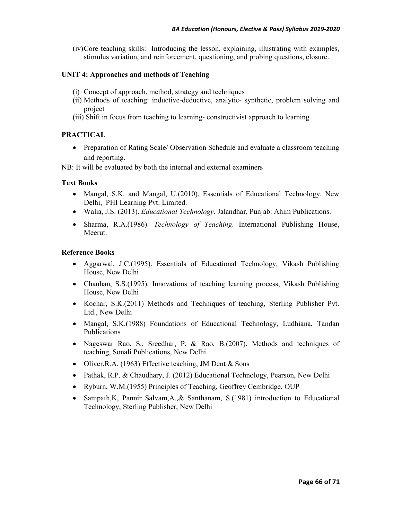(iv)Core teaching skills: Introducing the lesson, explaining, illustrating with examples, stimulus variation, and reinforcement, questioning, and probing questions, closure.

### **UNIT 4: Approaches and methods of Teaching**

- (i) Concept of approach, method, strategy and techniques
- (ii) Methods of teaching: inductive-deductive, analytic- synthetic, problem solving and project
- (iii) Shift in focus from teaching to learning- constructivist approach to learning

## **PRACTICAL**

• Preparation of Rating Scale/ Observation Schedule and evaluate a classroom teaching and reporting.

NB: It will be evaluated by both the internal and external examiners

## **Text Books**

- Mangal, S.K. and Mangal, U.(2010). Essentials of Educational Technology. New Delhi, PHI Learning Pvt. Limited.
- Walia, J.S. (2013). *Educational Technology*. Jalandhar, Punjab: Ahim Publications.
- Sharma, R.A.(1986). *Technology of Teaching*. International Publishing House, Meerut.

- Aggarwal, J.C.(1995). Essentials of Educational Technology, Vikash Publishing House, New Delhi
- Chauhan, S.S. (1995). Innovations of teaching learning process, Vikash Publishing House, New Delhi
- Kochar, S.K.(2011) Methods and Techniques of teaching, Sterling Publisher Pvt. Ltd., New Delhi
- Mangal, S.K.(1988) Foundations of Educational Technology, Ludhiana, Tandan Publications
- Nageswar Rao, S., Sreedhar, P. & Rao, B. (2007). Methods and techniques of teaching, Sonali Publications, New Delhi
- Oliver, R.A. (1963) Effective teaching, JM Dent & Sons
- Pathak, R.P. & Chaudhary, J. (2012) Educational Technology, Pearson, New Delhi
- Ryburn, W.M.(1955) Principles of Teaching, Geoffrey Cembridge, OUP
- Sampath, K, Pannir Salvam, A., & Santhanam, S.(1981) introduction to Educational Technology, Sterling Publisher, New Delhi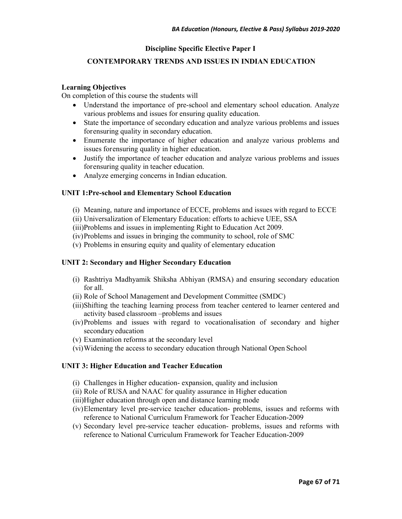### **Discipline Specific Elective Paper I**

## **CONTEMPORARY TRENDS AND ISSUES IN INDIAN EDUCATION**

#### **Learning Objectives**

On completion of this course the students will

- Understand the importance of pre-school and elementary school education. Analyze various problems and issues for ensuring quality education.
- State the importance of secondary education and analyze various problems and issues for ensuring quality in secondary education.
- Enumerate the importance of higher education and analyze various problems and issues for ensuring quality in higher education.
- Justify the importance of teacher education and analyze various problems and issues for ensuring quality in teacher education.
- Analyze emerging concerns in Indian education.

#### **UNIT 1:Pre-school and Elementary School Education**

- (i) Meaning, nature and importance of ECCE, problems and issues with regard to ECCE
- (ii) Universalization of Elementary Education: efforts to achieve UEE, SSA
- (iii)Problems and issues in implementing Right to Education Act 2009.
- (iv)Problems and issues in bringing the community to school, role of SMC
- (v) Problems in ensuring equity and quality of elementary education

#### **UNIT 2: Secondary and Higher Secondary Education**

- (i) Rashtriya Madhyamik Shiksha Abhiyan (RMSA) and ensuring secondary education for all.
- (ii) Role of School Management and Development Committee (SMDC)
- (iii)Shifting the teaching learning process from teacher centered to learner centered and activity based classroom –problems and issues
- (iv)Problems and issues with regard to vocationalisation of secondary and higher secondary education
- (v) Examination reforms at the secondary level
- (vi)Widening the access to secondary education through National Open School

#### **UNIT 3: Higher Education and Teacher Education**

- (i) Challenges in Higher education- expansion, quality and inclusion
- (ii) Role of RUSA and NAAC for quality assurance in Higher education
- (iii)Higher education through open and distance learning mode
- (iv)Elementary level pre-service teacher education- problems, issues and reforms with reference to National Curriculum Framework for Teacher Education-2009
- (v) Secondary level pre-service teacher education- problems, issues and reforms with reference to National Curriculum Framework for Teacher Education-2009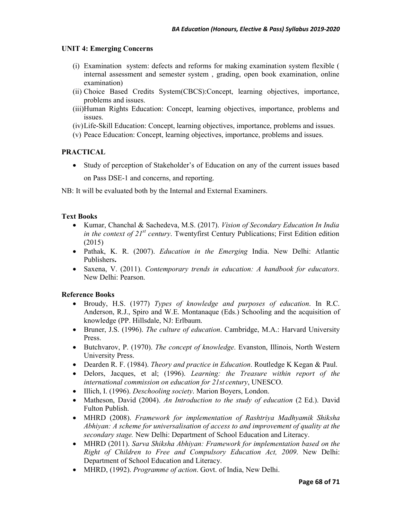## **UNIT 4: Emerging Concerns**

- (i) Examination system: defects and reforms for making examination system flexible ( internal assessment and semester system , grading, open book examination, online examination)
- (ii) Choice Based Credits System(CBCS):Concept, learning objectives, importance, problems and issues.
- (iii)Human Rights Education: Concept, learning objectives, importance, problems and issues.
- (iv)Life-Skill Education: Concept, learning objectives, importance, problems and issues.
- (v) Peace Education: Concept, learning objectives, importance, problems and issues.

## **PRACTICAL**

• Study of perception of Stakeholder's of Education on any of the current issues based on Pass DSE-1 and concerns, and reporting.

NB: It will be evaluated both by the Internal and External Examiners.

## **Text Books**

- Kumar, Chanchal & Sachedeva, M.S. (2017). *Vision of Secondary Education In India in the context of 21st century*. Twentyfirst Century Publications; First Edition edition (2015)
- Pathak, K. R. (2007). *Education in the Emerging* India. New Delhi: Atlantic Publishers**.**
- Saxena, V. (2011). *Contemporary trends in education: A handbook for educators*. New Delhi: Pearson.

- Broudy, H.S. (1977) *Types of knowledge and purposes of education*. In R.C. Anderson, R.J., Spiro and W.E. Montanaque (Eds.) Schooling and the acquisition of knowledge (PP. Hillsdale, NJ: Erlbaum.
- Bruner, J.S. (1996). *The culture of education*. Cambridge, M.A.: Harvard University Press.
- Butchvarov, P. (1970). *The concept of knowledge*. Evanston, Illinois, North Western University Press.
- Dearden R. F. (1984). *Theory and practice in Education*. Routledge K Kegan & Paul.
- Delors, Jacques, et al; (1996). *Learning: the Treasure within report of the international commission on education for 21st century*, UNESCO.
- Illich, I. (1996). *Deschooling society*. Marion Boyers, London.
- Matheson, David (2004). *An Introduction to the study of education* (2 Ed.). David Fulton Publish.
- MHRD (2008). *Framework for implementation of Rashtriya Madhyamik Shiksha Abhiyan: A scheme for universalisation of access to and improvement of quality at the secondary stage.* New Delhi: Department of School Education and Literacy.
- MHRD (2011). *Sarva Shiksha Abhiyan: Framework for implementation based on the Right of Children to Free and Compulsory Education Act, 2009*. New Delhi: Department of School Education and Literacy.
- MHRD, (1992). *Programme of action*. Govt. of India, New Delhi.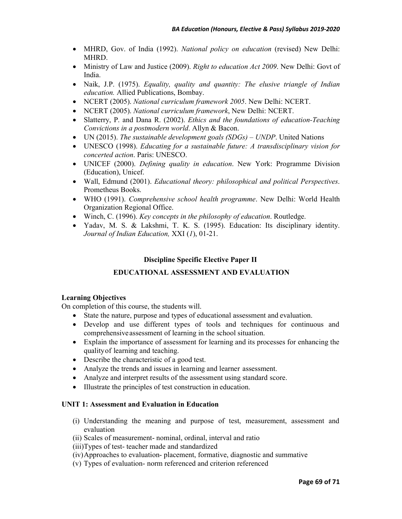- MHRD, Gov. of India (1992). *National policy on education* (revised) New Delhi: MHRD.
- Ministry of Law and Justice (2009). *Right to education Act 2009*. New Delhi: Govt of India.
- Naik, J.P. (1975). *Equality, quality and quantity: The elusive triangle of Indian education.* Allied Publications, Bombay.
- NCERT (2005). *National curriculum framework 2005*. New Delhi: NCERT.
- NCERT (2005). *National curriculum framework*, New Delhi: NCERT.
- Slatterry, P. and Dana R. (2002). *Ethics and the foundations of education-Teaching Convictions in a postmodern world*. Allyn & Bacon.
- UN (2015). *The sustainable development goals (SDGs) UNDP*. United Nations
- UNESCO (1998). *Educating for a sustainable future: A transdisciplinary vision for concerted action*. Paris: UNESCO.
- UNICEF (2000). *Defining quality in education*. New York: Programme Division (Education), Unicef.
- Wall, Edmund (2001). *Educational theory: philosophical and political Perspectives*. Prometheus Books.
- WHO (1991). *Comprehensive school health programme*. New Delhi: World Health Organization Regional Office.
- Winch, C. (1996). *Key concepts in the philosophy of education*. Routledge.
- Yadav, M. S. & Lakshmi, T. K. S. (1995). Education: Its disciplinary identity. *Journal of Indian Education,* XXI (*1*), 01-21.

## **Discipline Specific Elective Paper II**

## **EDUCATIONAL ASSESSMENT AND EVALUATION**

#### **Learning Objectives**

On completion of this course, the students will.

- State the nature, purpose and types of educational assessment and evaluation.
- Develop and use different types of tools and techniques for continuous and comprehensive assessment of learning in the school situation.
- Explain the importance of assessment for learning and its processes for enhancing the quality of learning and teaching.
- Describe the characteristic of a good test.
- Analyze the trends and issues in learning and learner assessment.
- Analyze and interpret results of the assessment using standard score.
- Illustrate the principles of test construction in education.

#### **UNIT 1: Assessment and Evaluation in Education**

- (i) Understanding the meaning and purpose of test, measurement, assessment and evaluation
- (ii) Scales of measurement- nominal, ordinal, interval and ratio
- (iii)Types of test- teacher made and standardized
- (iv)Approaches to evaluation- placement, formative, diagnostic and summative
- (v) Types of evaluation- norm referenced and criterion referenced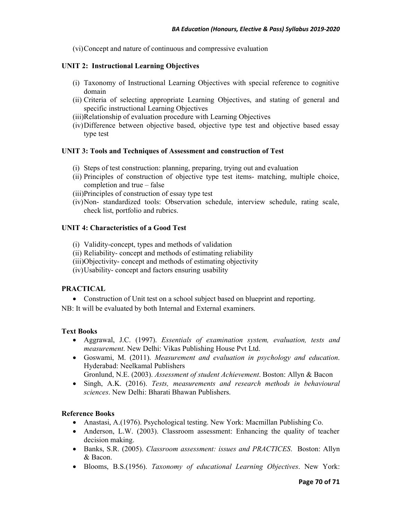(vi)Concept and nature of continuous and compressive evaluation

#### **UNIT 2: Instructional Learning Objectives**

- (i) Taxonomy of Instructional Learning Objectives with special reference to cognitive domain
- (ii) Criteria of selecting appropriate Learning Objectives, and stating of general and specific instructional Learning Objectives
- (iii)Relationship of evaluation procedure with Learning Objectives
- (iv)Difference between objective based, objective type test and objective based essay type test

#### **UNIT 3: Tools and Techniques of Assessment and construction of Test**

- (i) Steps of test construction: planning, preparing, trying out and evaluation
- (ii) Principles of construction of objective type test items- matching, multiple choice, completion and true – false
- (iii)Principles of construction of essay type test
- (iv)Non- standardized tools: Observation schedule, interview schedule, rating scale, check list, portfolio and rubrics.

#### **UNIT 4: Characteristics of a Good Test**

- (i) Validity-concept, types and methods of validation
- (ii) Reliability- concept and methods of estimating reliability
- (iii)Objectivity- concept and methods of estimating objectivity
- (iv)Usability- concept and factors ensuring usability

#### **PRACTICAL**

• Construction of Unit test on a school subject based on blueprint and reporting.

NB: It will be evaluated by both Internal and External examiners.

#### **Text Books**

- Aggrawal, J.C. (1997). *Essentials of examination system, evaluation, tests and measurement*. New Delhi: Vikas Publishing House Pvt Ltd.
- Goswami, M. (2011). *Measurement and evaluation in psychology and education*. Hyderabad: Neelkamal Publishers
	- Gronlund, N.E. (2003). *Assessment of student Achievement*. Boston: Allyn & Bacon
- Singh, A.K. (2016). *Tests, measurements and research methods in behavioural sciences*. New Delhi: Bharati Bhawan Publishers.

- Anastasi, A.(1976). Psychological testing. New York: Macmillan Publishing Co.
- Anderson, L.W. (2003). Classroom assessment: Enhancing the quality of teacher decision making.
- Banks, S.R. (2005). *Classroom assessment: issues and PRACTICES*. Boston: Allyn & Bacon.
- Blooms, B.S.(1956). *Taxonomy of educational Learning Objectives*. New York: